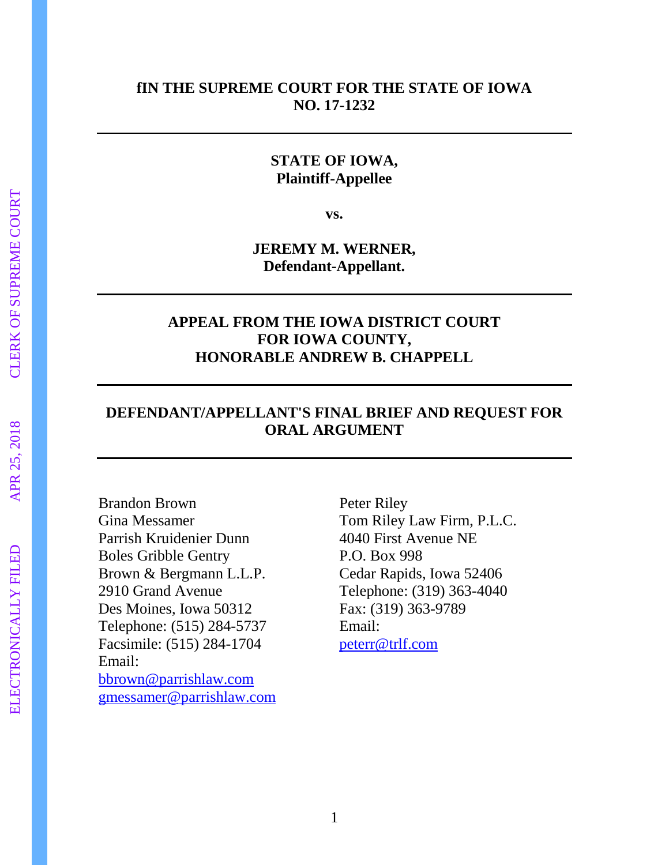## **fIN THE SUPREME COURT FOR THE STATE OF IOWA NO. 17-1232**

## **STATE OF IOWA, Plaintiff-Appellee**

**vs.**

**JEREMY M. WERNER, Defendant-Appellant.**

## **APPEAL FROM THE IOWA DISTRICT COURT FOR IOWA COUNTY, HONORABLE ANDREW B. CHAPPELL**

## **DEFENDANT/APPELLANT'S FINAL BRIEF AND REQUEST FOR ORAL ARGUMENT**

Brandon Brown Gina Messamer Parrish Kruidenier Dunn Boles Gribble Gentry Brown & Bergmann L.L.P. 2910 Grand Avenue Des Moines, Iowa 50312 Telephone: (515) 284-5737 Facsimile: (515) 284-1704 Email: [bbrown@parrishlaw.com](mailto:bbrown@parrishlaw.com) [gmessamer@parrishlaw.com](mailto:gmessamer@parrishlaw.com) Peter Riley Tom Riley Law Firm, P.L.C. 4040 First Avenue NE P.O. Box 998 Cedar Rapids, Iowa 52406 Telephone: (319) 363-4040 Fax: (319) 363-9789 Email: [peterr@trlf.com](mailto:peterr@trlf.com)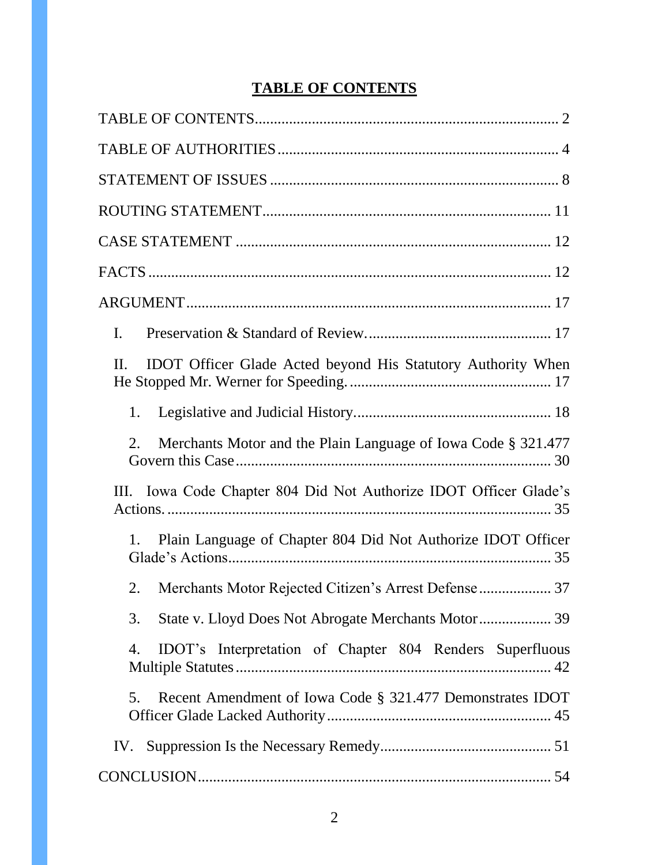# **TABLE OF CONTENTS**

<span id="page-1-0"></span>

| Ι.                                                                      |
|-------------------------------------------------------------------------|
| IDOT Officer Glade Acted beyond His Statutory Authority When<br>$\Pi$ . |
| 1.                                                                      |
| Merchants Motor and the Plain Language of Iowa Code § 321.477<br>2.     |
| III. Iowa Code Chapter 804 Did Not Authorize IDOT Officer Glade's       |
| Plain Language of Chapter 804 Did Not Authorize IDOT Officer<br>1.      |
| Merchants Motor Rejected Citizen's Arrest Defense  37<br>2.             |
| 3.                                                                      |
| IDOT's Interpretation of Chapter 804 Renders Superfluous<br>4.          |
| Recent Amendment of Iowa Code § 321.477 Demonstrates IDOT<br>5.         |
|                                                                         |
|                                                                         |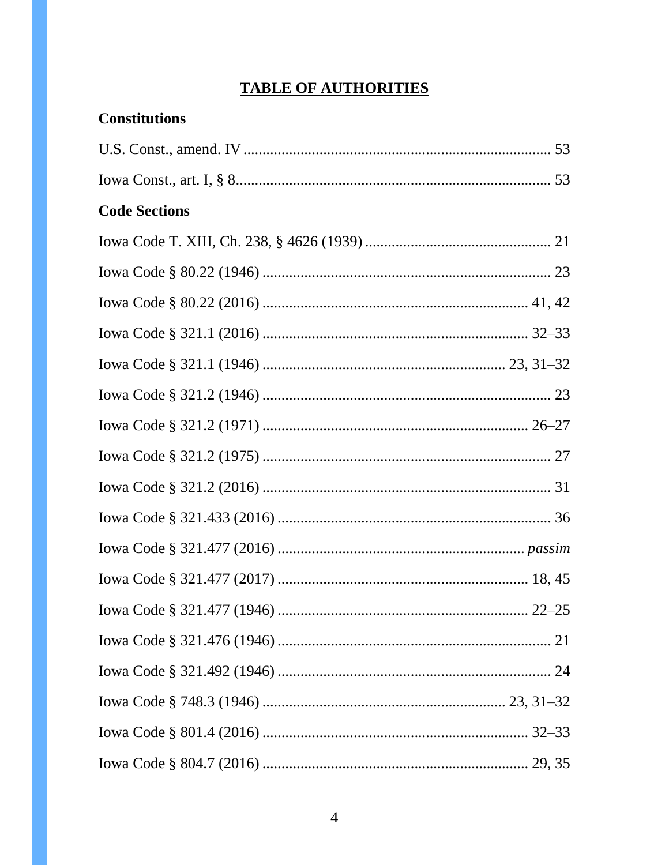# **TABLE OF AUTHORITIES**

<span id="page-3-0"></span>

| <b>Constitutions</b> |  |
|----------------------|--|
|                      |  |
|                      |  |
| <b>Code Sections</b> |  |
|                      |  |
|                      |  |
|                      |  |
|                      |  |
|                      |  |
|                      |  |
|                      |  |
|                      |  |
|                      |  |
|                      |  |
|                      |  |
|                      |  |
|                      |  |
|                      |  |
|                      |  |
|                      |  |
|                      |  |
|                      |  |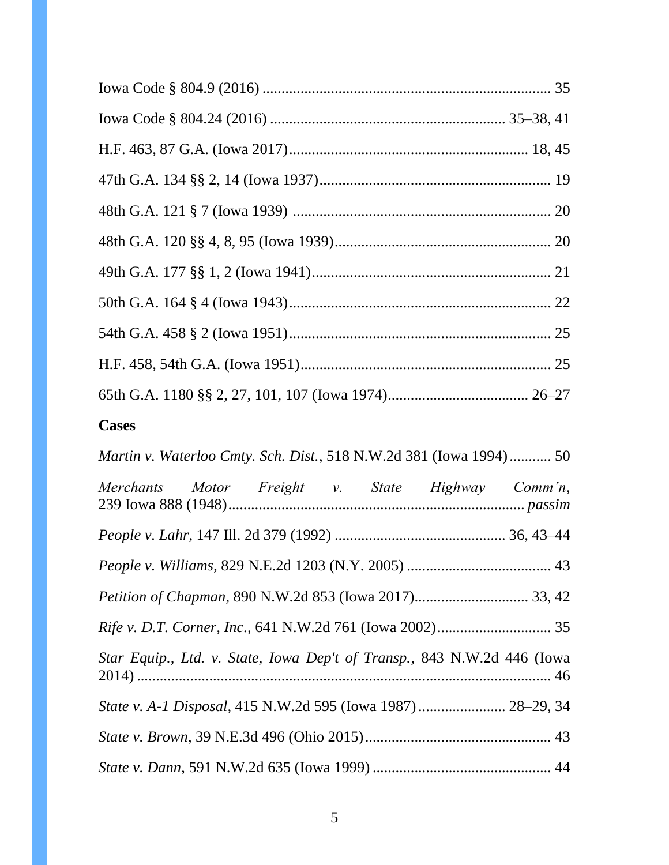| <b>Cases</b>                                                               |
|----------------------------------------------------------------------------|
| <i>Martin v. Waterloo Cmty. Sch. Dist.</i> , 518 N.W.2d 381 (Iowa 1994) 50 |
| Merchants Motor Freight v. State Highway Comm'n,                           |
|                                                                            |
|                                                                            |
|                                                                            |
|                                                                            |
| Star Equip., Ltd. v. State, Iowa Dep't of Transp., 843 N.W.2d 446 (Iowa    |
| State v. A-1 Disposal, 415 N.W.2d 595 (Iowa 1987)  28-29, 34               |
|                                                                            |
|                                                                            |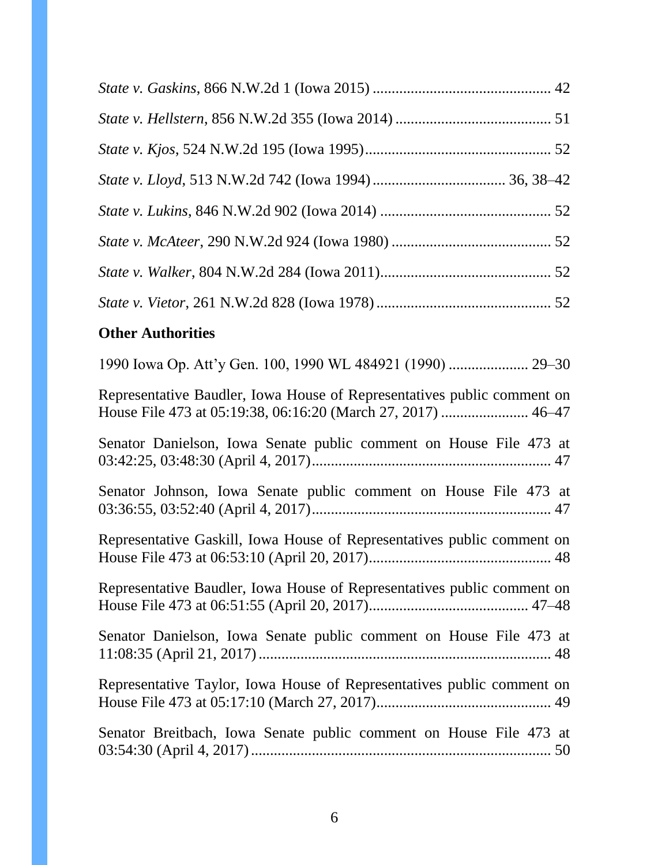# **Other Authorities**

| Representative Baudler, Iowa House of Representatives public comment on |
|-------------------------------------------------------------------------|
| Senator Danielson, Iowa Senate public comment on House File 473 at      |
| Senator Johnson, Iowa Senate public comment on House File 473 at        |
| Representative Gaskill, Iowa House of Representatives public comment on |
| Representative Baudler, Iowa House of Representatives public comment on |
| Senator Danielson, Iowa Senate public comment on House File 473 at      |
| Representative Taylor, Iowa House of Representatives public comment on  |
| Senator Breitbach, Iowa Senate public comment on House File 473 at      |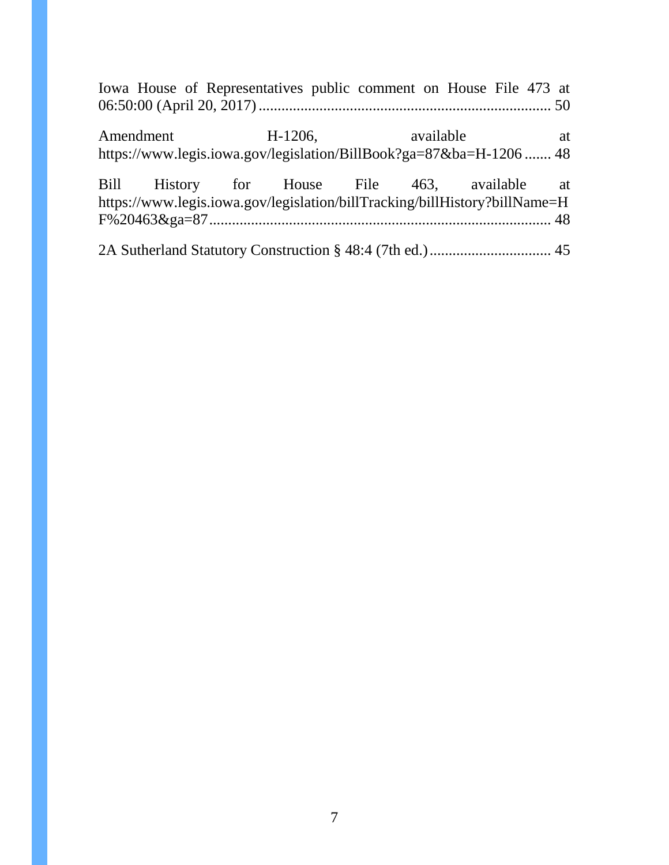|  |  | Iowa House of Representatives public comment on House File 473 at                                                           |  |
|--|--|-----------------------------------------------------------------------------------------------------------------------------|--|
|  |  | Amendment H-1206, available at<br>https://www.legis.iowa.gov/legislation/BillBook?ga=87&ba=H-1206  48                       |  |
|  |  | Bill History for House File 463, available at<br>https://www.legis.iowa.gov/legislation/billTracking/billHistory?billName=H |  |
|  |  |                                                                                                                             |  |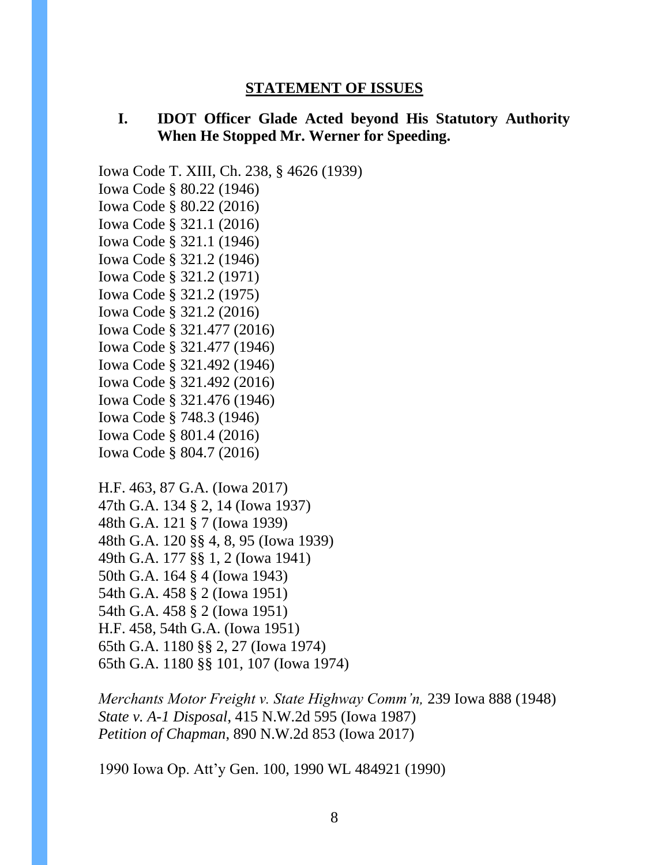#### **STATEMENT OF ISSUES**

## <span id="page-7-0"></span>**I. IDOT Officer Glade Acted beyond His Statutory Authority When He Stopped Mr. Werner for Speeding.**

Iowa Code T. XIII, Ch. 238, § 4626 (1939)

Iowa Code § 80.22 (1946) Iowa Code § 80.22 (2016) Iowa Code § 321.1 (2016) Iowa Code § 321.1 (1946) Iowa Code § 321.2 (1946) Iowa Code § 321.2 (1971) Iowa Code § 321.2 (1975) Iowa Code § 321.2 (2016) Iowa Code § 321.477 (2016) Iowa Code § 321.477 (1946) Iowa Code § 321.492 (1946) Iowa Code § 321.492 (2016) Iowa Code § 321.476 (1946) Iowa Code § 748.3 (1946) Iowa Code § 801.4 (2016) Iowa Code § 804.7 (2016)

```
H.F. 463, 87 G.A. (Iowa 2017)
47th G.A. 134 § 2, 14 (Iowa 1937)
48th G.A. 121 § 7 (Iowa 1939) 
48th G.A. 120 §§ 4, 8, 95 (Iowa 1939)
49th G.A. 177 §§ 1, 2 (Iowa 1941)
50th G.A. 164 § 4 (Iowa 1943)
54th G.A. 458 § 2 (Iowa 1951)
54th G.A. 458 § 2 (Iowa 1951)
H.F. 458, 54th G.A. (Iowa 1951)
65th G.A. 1180 §§ 2, 27 (Iowa 1974)
65th G.A. 1180 §§ 101, 107 (Iowa 1974)
```
*Merchants Motor Freight v. State Highway Comm'n,* 239 Iowa 888 (1948) *State v. A-1 Disposal*, 415 N.W.2d 595 (Iowa 1987) *Petition of Chapman*, 890 N.W.2d 853 (Iowa 2017)

1990 Iowa Op. Att'y Gen. 100, 1990 WL 484921 (1990)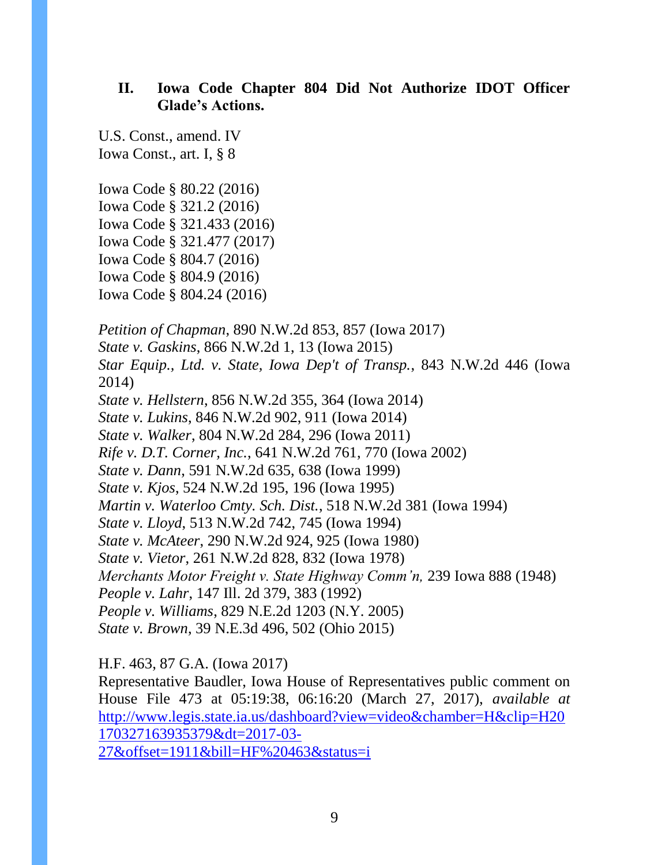## **II. Iowa Code Chapter 804 Did Not Authorize IDOT Officer Glade's Actions.**

U.S. Const., amend. IV Iowa Const., art. I, § 8

Iowa Code § 80.22 (2016) Iowa Code § 321.2 (2016) Iowa Code § 321.433 (2016) Iowa Code § 321.477 (2017) Iowa Code § 804.7 (2016) Iowa Code § 804.9 (2016) Iowa Code § 804.24 (2016)

*Petition of Chapman*, 890 N.W.2d 853, 857 (Iowa 2017) *State v. Gaskins*, 866 N.W.2d 1, 13 (Iowa 2015) *Star Equip., Ltd. v. State, Iowa Dep't of Transp.*, 843 N.W.2d 446 (Iowa 2014) *State v. Hellstern*, 856 N.W.2d 355, 364 (Iowa 2014) *State v. Lukins*, 846 N.W.2d 902, 911 (Iowa 2014) *State v. Walker*, 804 N.W.2d 284, 296 (Iowa 2011) *Rife v. D.T. Corner, Inc.*, 641 N.W.2d 761, 770 (Iowa 2002) *State v. Dann*, 591 N.W.2d 635, 638 (Iowa 1999) *State v. Kjos*, 524 N.W.2d 195, 196 (Iowa 1995) *Martin v. Waterloo Cmty. Sch. Dist.*, 518 N.W.2d 381 (Iowa 1994) *State v. Lloyd*, 513 N.W.2d 742, 745 (Iowa 1994) *State v. McAteer*, 290 N.W.2d 924, 925 (Iowa 1980) *State v. Vietor*, 261 N.W.2d 828, 832 (Iowa 1978) *Merchants Motor Freight v. State Highway Comm'n,* 239 Iowa 888 (1948) *People v. Lahr*, 147 Ill. 2d 379, 383 (1992) *People v. Williams*, 829 N.E.2d 1203 (N.Y. 2005) *State v. Brown*, 39 N.E.3d 496, 502 (Ohio 2015)

H.F. 463, 87 G.A. (Iowa 2017)

Representative Baudler, Iowa House of Representatives public comment on House File 473 at 05:19:38, 06:16:20 (March 27, 2017), *available at*  [http://www.legis.state.ia.us/dashboard?view=video&chamber=H&clip=H20](http://www.legis.state.ia.us/dashboard?view=video&chamber=H&clip=H20170327163935379&dt=2017-03-27&offset=1911&bill=HF%20463&status=i) [170327163935379&dt=2017-03-](http://www.legis.state.ia.us/dashboard?view=video&chamber=H&clip=H20170327163935379&dt=2017-03-27&offset=1911&bill=HF%20463&status=i) [27&offset=1911&bill=HF%20463&status=i](http://www.legis.state.ia.us/dashboard?view=video&chamber=H&clip=H20170327163935379&dt=2017-03-27&offset=1911&bill=HF%20463&status=i)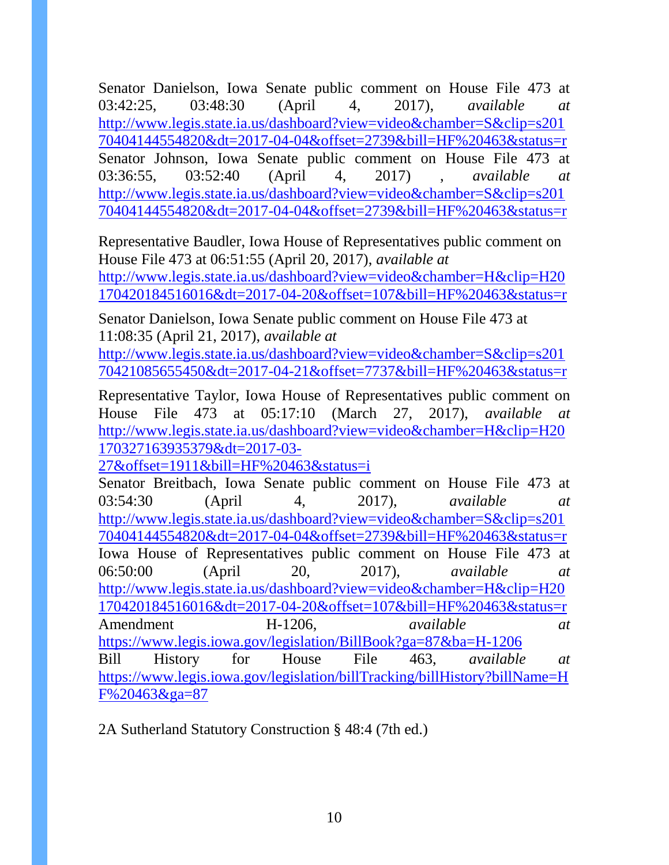Senator Danielson, Iowa Senate public comment on House File 473 at 03:42:25, 03:48:30 (April 4, 2017), *available at*  [http://www.legis.state.ia.us/dashboard?view=video&chamber=S&clip=s201](http://www.legis.state.ia.us/dashboard?view=video&chamber=S&clip=s20170404144554820&dt=2017-04-04&offset=2739&bill=HF%20463&status=r) [70404144554820&dt=2017-04-04&offset=2739&bill=HF%20463&status=r](http://www.legis.state.ia.us/dashboard?view=video&chamber=S&clip=s20170404144554820&dt=2017-04-04&offset=2739&bill=HF%20463&status=r) Senator Johnson, Iowa Senate public comment on House File 473 at 03:36:55, 03:52:40 (April 4, 2017) , *available at*  [http://www.legis.state.ia.us/dashboard?view=video&chamber=S&clip=s201](http://www.legis.state.ia.us/dashboard?view=video&chamber=S&clip=s20170404144554820&dt=2017-04-04&offset=2739&bill=HF%20463&status=r) [70404144554820&dt=2017-04-04&offset=2739&bill=HF%20463&status=r](http://www.legis.state.ia.us/dashboard?view=video&chamber=S&clip=s20170404144554820&dt=2017-04-04&offset=2739&bill=HF%20463&status=r)

Representative Baudler, Iowa House of Representatives public comment on House File 473 at 06:51:55 (April 20, 2017), *available at*  [http://www.legis.state.ia.us/dashboard?view=video&chamber=H&clip=H20](http://www.legis.state.ia.us/dashboard?view=video&chamber=H&clip=H20170420184516016&dt=2017-04-20&offset=107&bill=HF%20463&status=r) [170420184516016&dt=2017-04-20&offset=107&bill=HF%20463&status=r](http://www.legis.state.ia.us/dashboard?view=video&chamber=H&clip=H20170420184516016&dt=2017-04-20&offset=107&bill=HF%20463&status=r)

Senator Danielson, Iowa Senate public comment on House File 473 at 11:08:35 (April 21, 2017), *available at* 

[http://www.legis.state.ia.us/dashboard?view=video&chamber=S&clip=s201](http://www.legis.state.ia.us/dashboard?view=video&chamber=S&clip=s20170421085655450&dt=2017-04-21&offset=7737&bill=HF%20463&status=r) [70421085655450&dt=2017-04-21&offset=7737&bill=HF%20463&status=r](http://www.legis.state.ia.us/dashboard?view=video&chamber=S&clip=s20170421085655450&dt=2017-04-21&offset=7737&bill=HF%20463&status=r)

Representative Taylor, Iowa House of Representatives public comment on House File 473 at 05:17:10 (March 27, 2017), *available at*  [http://www.legis.state.ia.us/dashboard?view=video&chamber=H&clip=H20](http://www.legis.state.ia.us/dashboard?view=video&chamber=H&clip=H20170327163935379&dt=2017-03-27&offset=1911&bill=HF%20463&status=i) [170327163935379&dt=2017-03-](http://www.legis.state.ia.us/dashboard?view=video&chamber=H&clip=H20170327163935379&dt=2017-03-27&offset=1911&bill=HF%20463&status=i)

[27&offset=1911&bill=HF%20463&status=i](http://www.legis.state.ia.us/dashboard?view=video&chamber=H&clip=H20170327163935379&dt=2017-03-27&offset=1911&bill=HF%20463&status=i)

Senator Breitbach, Iowa Senate public comment on House File 473 at 03:54:30 (April 4, 2017), *available at*  [http://www.legis.state.ia.us/dashboard?view=video&chamber=S&clip=s201](http://www.legis.state.ia.us/dashboard?view=video&chamber=S&clip=s20170404144554820&dt=2017-04-04&offset=2739&bill=HF%20463&status=r) [70404144554820&dt=2017-04-04&offset=2739&bill=HF%20463&status=r](http://www.legis.state.ia.us/dashboard?view=video&chamber=S&clip=s20170404144554820&dt=2017-04-04&offset=2739&bill=HF%20463&status=r) Iowa House of Representatives public comment on House File 473 at 06:50:00 (April 20, 2017), *available at*  [http://www.legis.state.ia.us/dashboard?view=video&chamber=H&clip=H20](http://www.legis.state.ia.us/dashboard?view=video&chamber=H&clip=H20170420184516016&dt=2017-04-20&offset=107&bill=HF%20463&status=r) [170420184516016&dt=2017-04-20&offset=107&bill=HF%20463&status=r](http://www.legis.state.ia.us/dashboard?view=video&chamber=H&clip=H20170420184516016&dt=2017-04-20&offset=107&bill=HF%20463&status=r) Amendment H-1206, *available at* <https://www.legis.iowa.gov/legislation/BillBook?ga=87&ba=H-1206> Bill History for House File 463, *available at*  [https://www.legis.iowa.gov/legislation/billTracking/billHistory?billName=H](https://www.legis.iowa.gov/legislation/billTracking/billHistory?billName=HF%20463&ga=87) [F%20463&ga=87](https://www.legis.iowa.gov/legislation/billTracking/billHistory?billName=HF%20463&ga=87)

2A Sutherland Statutory Construction § 48:4 (7th ed.)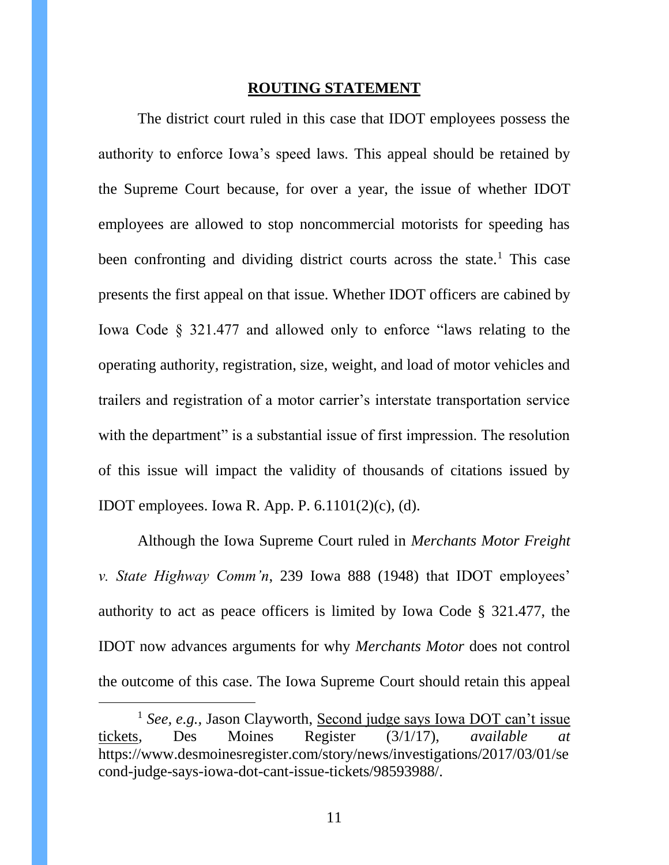#### **ROUTING STATEMENT**

<span id="page-10-0"></span>The district court ruled in this case that IDOT employees possess the authority to enforce Iowa's speed laws. This appeal should be retained by the Supreme Court because, for over a year, the issue of whether IDOT employees are allowed to stop noncommercial motorists for speeding has been confronting and dividing district courts across the state.<sup>1</sup> This case presents the first appeal on that issue. Whether IDOT officers are cabined by Iowa Code § 321.477 and allowed only to enforce "laws relating to the operating authority, registration, size, weight, and load of motor vehicles and trailers and registration of a motor carrier's interstate transportation service with the department" is a substantial issue of first impression. The resolution of this issue will impact the validity of thousands of citations issued by IDOT employees. Iowa R. App. P. 6.1101(2)(c), (d).

Although the Iowa Supreme Court ruled in *Merchants Motor Freight v. State Highway Comm'n*, 239 Iowa 888 (1948) that IDOT employees' authority to act as peace officers is limited by Iowa Code § 321.477, the IDOT now advances arguments for why *Merchants Motor* does not control the outcome of this case. The Iowa Supreme Court should retain this appeal

 $\overline{a}$ 

<sup>1</sup> *See, e.g.,* Jason Clayworth, Second judge says Iowa DOT can't issue tickets*,* Des Moines Register (3/1/17), *available at*  https://www.desmoinesregister.com/story/news/investigations/2017/03/01/se cond-judge-says-iowa-dot-cant-issue-tickets/98593988/.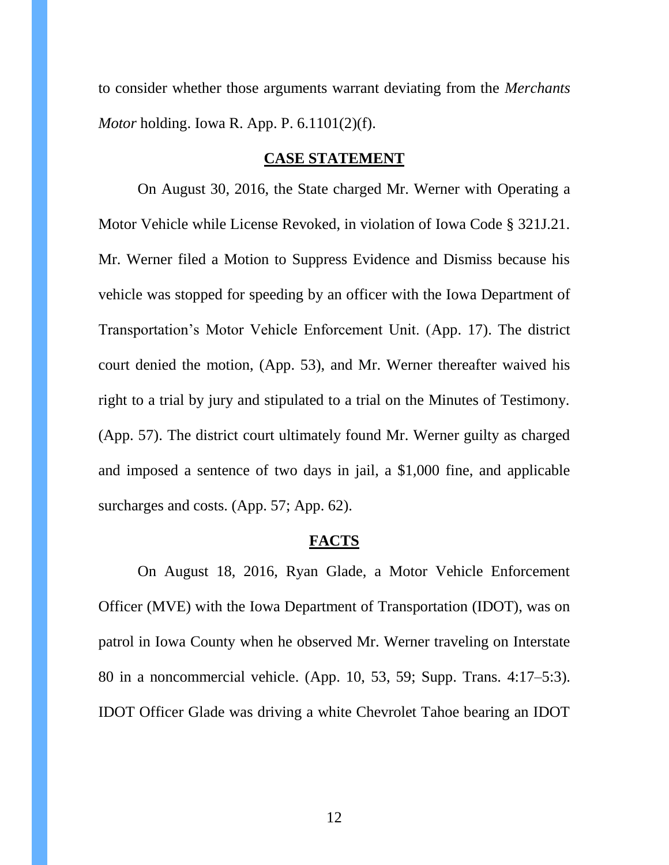to consider whether those arguments warrant deviating from the *Merchants Motor* holding. Iowa R. App. P. 6.1101(2)(f).

### **CASE STATEMENT**

<span id="page-11-0"></span>On August 30, 2016, the State charged Mr. Werner with Operating a Motor Vehicle while License Revoked, in violation of Iowa Code § 321J.21. Mr. Werner filed a Motion to Suppress Evidence and Dismiss because his vehicle was stopped for speeding by an officer with the Iowa Department of Transportation's Motor Vehicle Enforcement Unit. (App. 17). The district court denied the motion, (App. 53), and Mr. Werner thereafter waived his right to a trial by jury and stipulated to a trial on the Minutes of Testimony. (App. 57). The district court ultimately found Mr. Werner guilty as charged and imposed a sentence of two days in jail, a \$1,000 fine, and applicable surcharges and costs. (App. 57; App. 62).

#### **FACTS**

<span id="page-11-1"></span>On August 18, 2016, Ryan Glade, a Motor Vehicle Enforcement Officer (MVE) with the Iowa Department of Transportation (IDOT), was on patrol in Iowa County when he observed Mr. Werner traveling on Interstate 80 in a noncommercial vehicle. (App. 10, 53, 59; Supp. Trans. 4:17–5:3). IDOT Officer Glade was driving a white Chevrolet Tahoe bearing an IDOT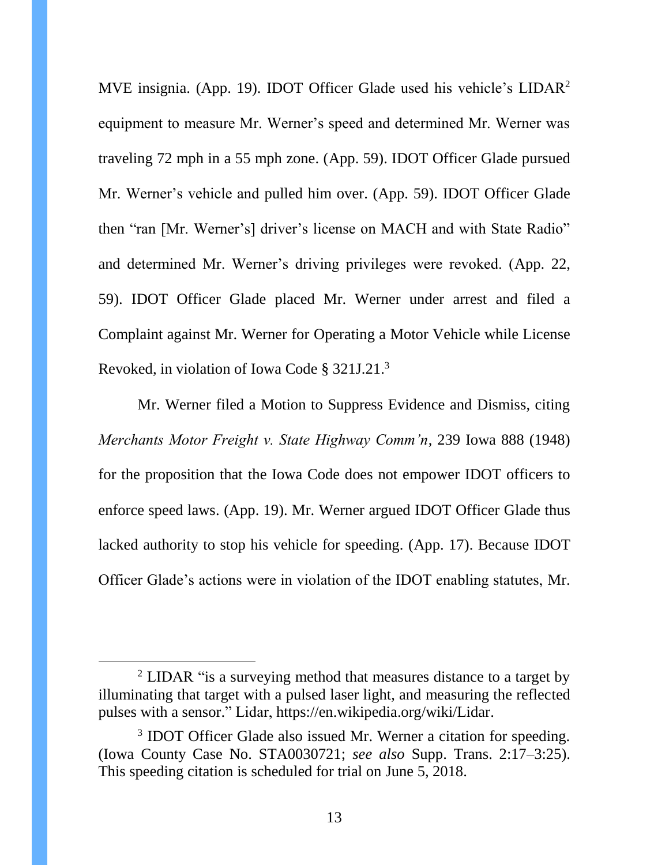MVE insignia. (App. 19). IDOT Officer Glade used his vehicle's LIDAR<sup>2</sup> equipment to measure Mr. Werner's speed and determined Mr. Werner was traveling 72 mph in a 55 mph zone. (App. 59). IDOT Officer Glade pursued Mr. Werner's vehicle and pulled him over. (App. 59). IDOT Officer Glade then "ran [Mr. Werner's] driver's license on MACH and with State Radio" and determined Mr. Werner's driving privileges were revoked. (App. 22, 59). IDOT Officer Glade placed Mr. Werner under arrest and filed a Complaint against Mr. Werner for Operating a Motor Vehicle while License Revoked, in violation of Iowa Code § 321J.21.<sup>3</sup>

Mr. Werner filed a Motion to Suppress Evidence and Dismiss, citing *Merchants Motor Freight v. State Highway Comm'n*, 239 Iowa 888 (1948) for the proposition that the Iowa Code does not empower IDOT officers to enforce speed laws. (App. 19). Mr. Werner argued IDOT Officer Glade thus lacked authority to stop his vehicle for speeding. (App. 17). Because IDOT Officer Glade's actions were in violation of the IDOT enabling statutes, Mr.

 $\overline{a}$ 

<sup>&</sup>lt;sup>2</sup> LIDAR "is a surveying method that measures distance to a target by illuminating that target with a pulsed laser light, and measuring the reflected pulses with a sensor." Lidar, https://en.wikipedia.org/wiki/Lidar.

<sup>&</sup>lt;sup>3</sup> IDOT Officer Glade also issued Mr. Werner a citation for speeding. (Iowa County Case No. STA0030721; *see also* Supp. Trans. 2:17–3:25). This speeding citation is scheduled for trial on June 5, 2018.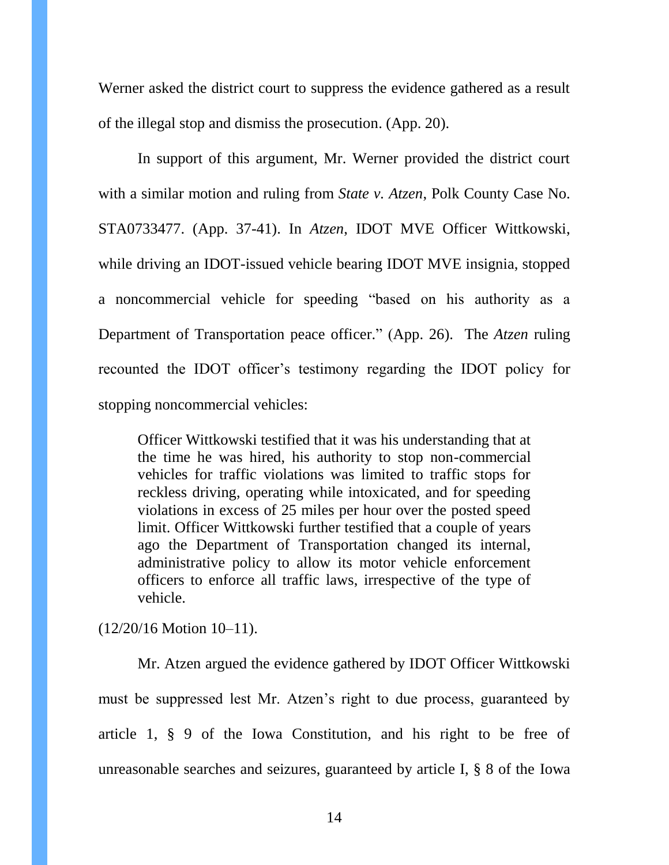Werner asked the district court to suppress the evidence gathered as a result of the illegal stop and dismiss the prosecution. (App. 20).

In support of this argument, Mr. Werner provided the district court with a similar motion and ruling from *State v. Atzen*, Polk County Case No. STA0733477. (App. 37-41). In *Atzen*, IDOT MVE Officer Wittkowski, while driving an IDOT-issued vehicle bearing IDOT MVE insignia, stopped a noncommercial vehicle for speeding "based on his authority as a Department of Transportation peace officer." (App. 26). The *Atzen* ruling recounted the IDOT officer's testimony regarding the IDOT policy for stopping noncommercial vehicles:

Officer Wittkowski testified that it was his understanding that at the time he was hired, his authority to stop non-commercial vehicles for traffic violations was limited to traffic stops for reckless driving, operating while intoxicated, and for speeding violations in excess of 25 miles per hour over the posted speed limit. Officer Wittkowski further testified that a couple of years ago the Department of Transportation changed its internal, administrative policy to allow its motor vehicle enforcement officers to enforce all traffic laws, irrespective of the type of vehicle.

(12/20/16 Motion 10–11).

Mr. Atzen argued the evidence gathered by IDOT Officer Wittkowski must be suppressed lest Mr. Atzen's right to due process, guaranteed by article 1, § 9 of the Iowa Constitution, and his right to be free of unreasonable searches and seizures, guaranteed by article I, § 8 of the Iowa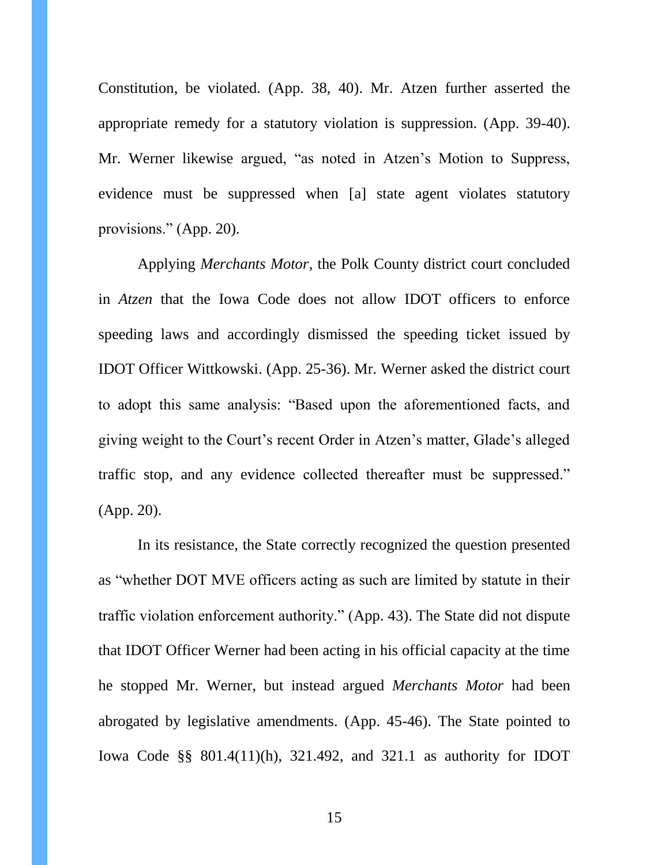Constitution, be violated. (App. 38, 40). Mr. Atzen further asserted the appropriate remedy for a statutory violation is suppression. (App. 39-40). Mr. Werner likewise argued, "as noted in Atzen's Motion to Suppress, evidence must be suppressed when [a] state agent violates statutory provisions." (App. 20).

Applying *Merchants Motor*, the Polk County district court concluded in *Atzen* that the Iowa Code does not allow IDOT officers to enforce speeding laws and accordingly dismissed the speeding ticket issued by IDOT Officer Wittkowski. (App. 25-36). Mr. Werner asked the district court to adopt this same analysis: "Based upon the aforementioned facts, and giving weight to the Court's recent Order in Atzen's matter, Glade's alleged traffic stop, and any evidence collected thereafter must be suppressed." (App. 20).

In its resistance, the State correctly recognized the question presented as "whether DOT MVE officers acting as such are limited by statute in their traffic violation enforcement authority." (App. 43). The State did not dispute that IDOT Officer Werner had been acting in his official capacity at the time he stopped Mr. Werner, but instead argued *Merchants Motor* had been abrogated by legislative amendments. (App. 45-46). The State pointed to Iowa Code §§ 801.4(11)(h), 321.492, and 321.1 as authority for IDOT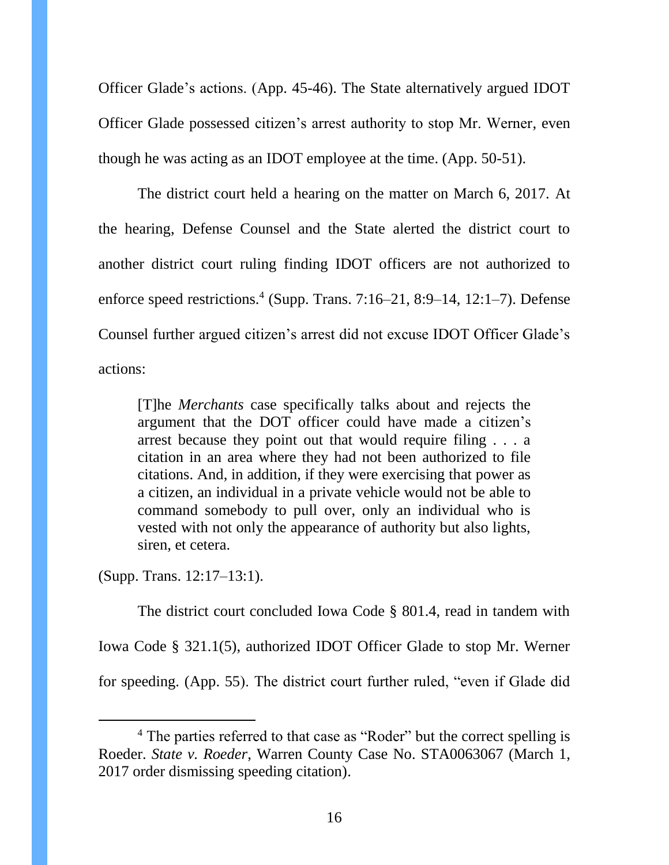Officer Glade's actions. (App. 45-46). The State alternatively argued IDOT Officer Glade possessed citizen's arrest authority to stop Mr. Werner, even though he was acting as an IDOT employee at the time. (App. 50-51).

The district court held a hearing on the matter on March 6, 2017. At the hearing, Defense Counsel and the State alerted the district court to another district court ruling finding IDOT officers are not authorized to enforce speed restrictions.<sup>4</sup> (Supp. Trans. 7:16–21, 8:9–14, 12:1–7). Defense Counsel further argued citizen's arrest did not excuse IDOT Officer Glade's actions:

[T]he *Merchants* case specifically talks about and rejects the argument that the DOT officer could have made a citizen's arrest because they point out that would require filing . . . a citation in an area where they had not been authorized to file citations. And, in addition, if they were exercising that power as a citizen, an individual in a private vehicle would not be able to command somebody to pull over, only an individual who is vested with not only the appearance of authority but also lights, siren, et cetera.

(Supp. Trans. 12:17–13:1).

 $\overline{a}$ 

The district court concluded Iowa Code § 801.4, read in tandem with Iowa Code § 321.1(5), authorized IDOT Officer Glade to stop Mr. Werner for speeding. (App. 55). The district court further ruled, "even if Glade did

<sup>&</sup>lt;sup>4</sup> The parties referred to that case as "Roder" but the correct spelling is Roeder. *State v. Roeder*, Warren County Case No. STA0063067 (March 1, 2017 order dismissing speeding citation).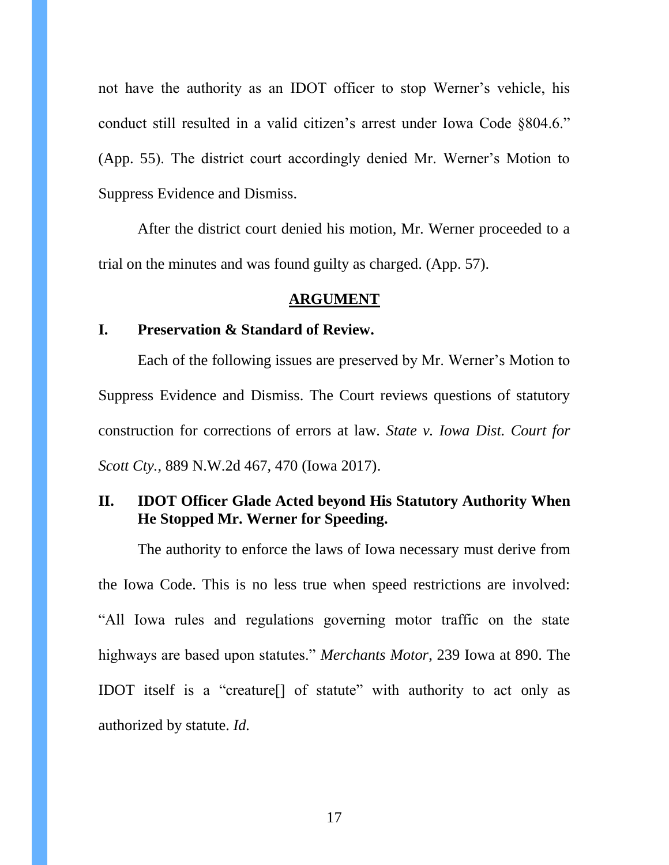not have the authority as an IDOT officer to stop Werner's vehicle, his conduct still resulted in a valid citizen's arrest under Iowa Code §804.6." (App. 55). The district court accordingly denied Mr. Werner's Motion to Suppress Evidence and Dismiss.

After the district court denied his motion, Mr. Werner proceeded to a trial on the minutes and was found guilty as charged. (App. 57).

#### **ARGUMENT**

#### <span id="page-16-1"></span><span id="page-16-0"></span>**I. Preservation & Standard of Review.**

Each of the following issues are preserved by Mr. Werner's Motion to Suppress Evidence and Dismiss. The Court reviews questions of statutory construction for corrections of errors at law. *State v. Iowa Dist. Court for Scott Cty.*, 889 N.W.2d 467, 470 (Iowa 2017).

## <span id="page-16-2"></span>**II. IDOT Officer Glade Acted beyond His Statutory Authority When He Stopped Mr. Werner for Speeding.**

The authority to enforce the laws of Iowa necessary must derive from the Iowa Code. This is no less true when speed restrictions are involved: "All Iowa rules and regulations governing motor traffic on the state highways are based upon statutes." *Merchants Motor*, 239 Iowa at 890. The IDOT itself is a "creature[] of statute" with authority to act only as authorized by statute. *Id.*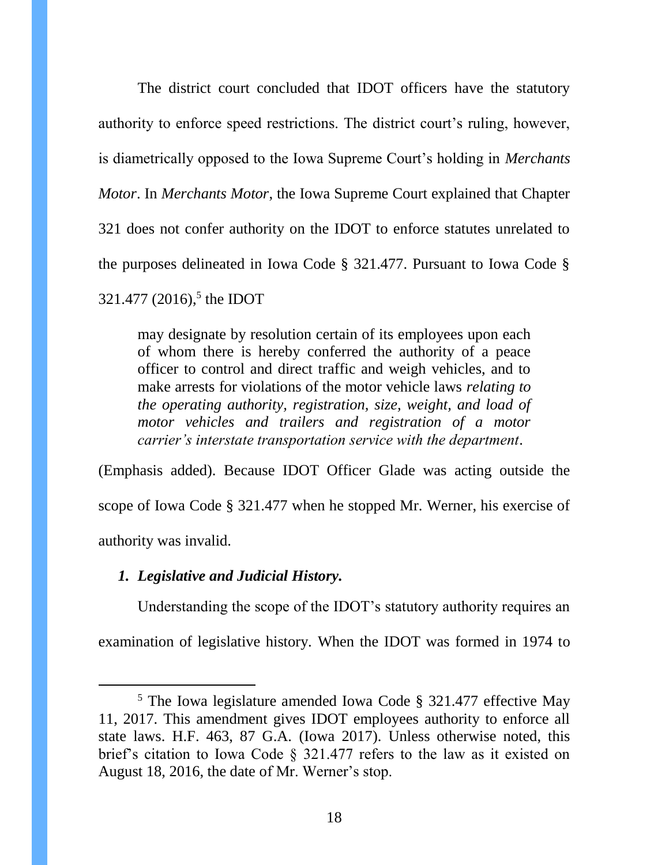The district court concluded that IDOT officers have the statutory authority to enforce speed restrictions. The district court's ruling, however, is diametrically opposed to the Iowa Supreme Court's holding in *Merchants Motor*. In *Merchants Motor*, the Iowa Supreme Court explained that Chapter 321 does not confer authority on the IDOT to enforce statutes unrelated to the purposes delineated in Iowa Code § 321.477. Pursuant to Iowa Code § 321.477 (2016), 5 the IDOT

may designate by resolution certain of its employees upon each of whom there is hereby conferred the authority of a peace officer to control and direct traffic and weigh vehicles, and to make arrests for violations of the motor vehicle laws *relating to the operating authority, registration, size, weight, and load of motor vehicles and trailers and registration of a motor carrier's interstate transportation service with the department*.

(Emphasis added). Because IDOT Officer Glade was acting outside the scope of Iowa Code § 321.477 when he stopped Mr. Werner, his exercise of authority was invalid.

#### <span id="page-17-0"></span>*1. Legislative and Judicial History.*

 $\overline{a}$ 

Understanding the scope of the IDOT's statutory authority requires an

examination of legislative history. When the IDOT was formed in 1974 to

<sup>5</sup> The Iowa legislature amended Iowa Code § 321.477 effective May 11, 2017. This amendment gives IDOT employees authority to enforce all state laws. H.F. 463, 87 G.A. (Iowa 2017). Unless otherwise noted, this brief's citation to Iowa Code § 321.477 refers to the law as it existed on August 18, 2016, the date of Mr. Werner's stop.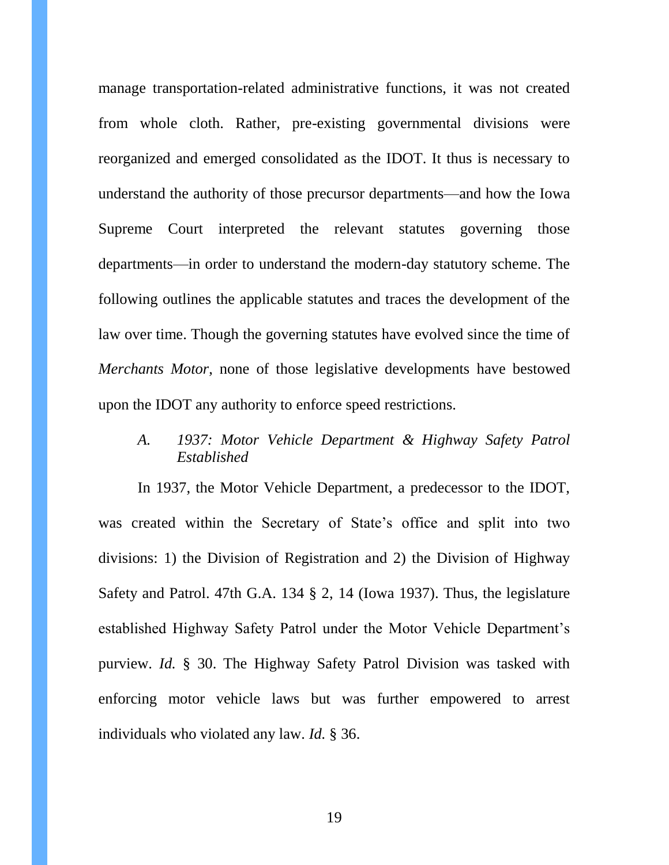manage transportation-related administrative functions, it was not created from whole cloth. Rather, pre-existing governmental divisions were reorganized and emerged consolidated as the IDOT. It thus is necessary to understand the authority of those precursor departments—and how the Iowa Supreme Court interpreted the relevant statutes governing those departments—in order to understand the modern-day statutory scheme. The following outlines the applicable statutes and traces the development of the law over time. Though the governing statutes have evolved since the time of *Merchants Motor*, none of those legislative developments have bestowed upon the IDOT any authority to enforce speed restrictions.

*A. 1937: Motor Vehicle Department & Highway Safety Patrol Established*

In 1937, the Motor Vehicle Department, a predecessor to the IDOT, was created within the Secretary of State's office and split into two divisions: 1) the Division of Registration and 2) the Division of Highway Safety and Patrol. 47th G.A. 134 § 2, 14 (Iowa 1937). Thus, the legislature established Highway Safety Patrol under the Motor Vehicle Department's purview. *Id.* § 30. The Highway Safety Patrol Division was tasked with enforcing motor vehicle laws but was further empowered to arrest individuals who violated any law. *Id.* § 36.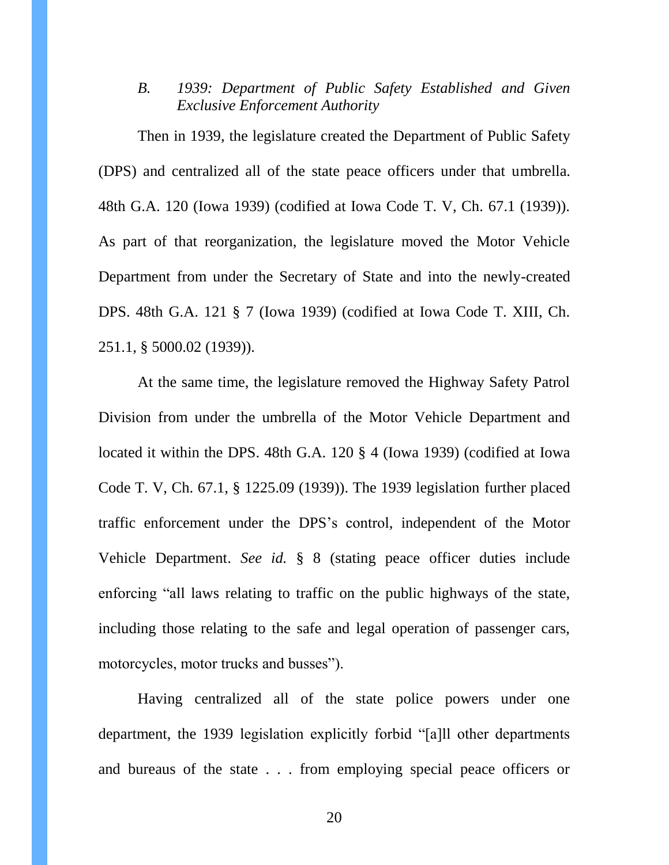*B. 1939: Department of Public Safety Established and Given Exclusive Enforcement Authority*

Then in 1939, the legislature created the Department of Public Safety (DPS) and centralized all of the state peace officers under that umbrella. 48th G.A. 120 (Iowa 1939) (codified at Iowa Code T. V, Ch. 67.1 (1939)). As part of that reorganization, the legislature moved the Motor Vehicle Department from under the Secretary of State and into the newly-created DPS. 48th G.A. 121 § 7 (Iowa 1939) (codified at Iowa Code T. XIII, Ch. 251.1, § 5000.02 (1939)).

At the same time, the legislature removed the Highway Safety Patrol Division from under the umbrella of the Motor Vehicle Department and located it within the DPS. 48th G.A. 120 § 4 (Iowa 1939) (codified at Iowa Code T. V, Ch. 67.1, § 1225.09 (1939)). The 1939 legislation further placed traffic enforcement under the DPS's control, independent of the Motor Vehicle Department. *See id.* § 8 (stating peace officer duties include enforcing "all laws relating to traffic on the public highways of the state, including those relating to the safe and legal operation of passenger cars, motorcycles, motor trucks and busses").

Having centralized all of the state police powers under one department, the 1939 legislation explicitly forbid "[a]ll other departments and bureaus of the state . . . from employing special peace officers or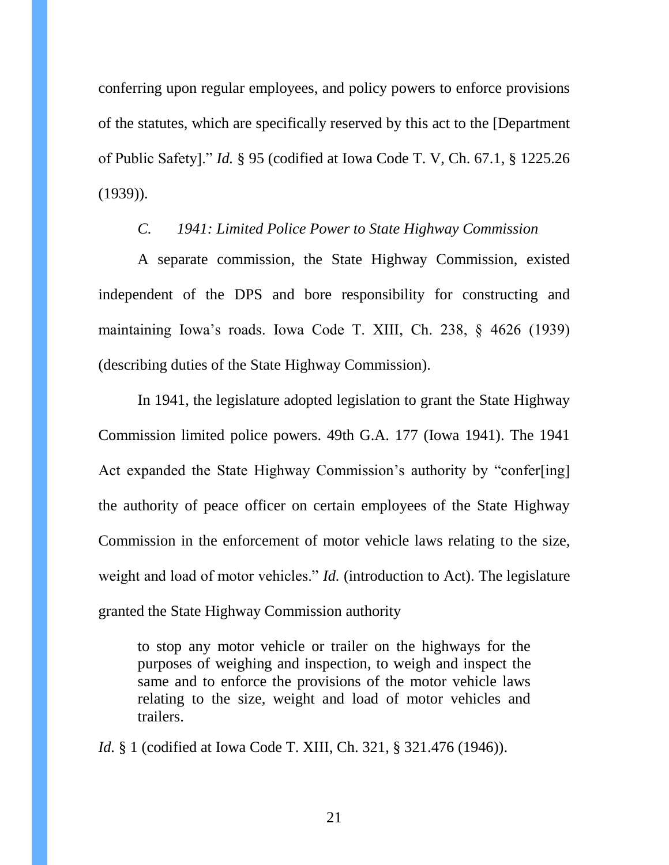conferring upon regular employees, and policy powers to enforce provisions of the statutes, which are specifically reserved by this act to the [Department of Public Safety]." *Id.* § 95 (codified at Iowa Code T. V, Ch. 67.1, § 1225.26 (1939)).

### *C. 1941: Limited Police Power to State Highway Commission*

A separate commission, the State Highway Commission, existed independent of the DPS and bore responsibility for constructing and maintaining Iowa's roads. Iowa Code T. XIII, Ch. 238, § 4626 (1939) (describing duties of the State Highway Commission).

In 1941, the legislature adopted legislation to grant the State Highway Commission limited police powers. 49th G.A. 177 (Iowa 1941). The 1941 Act expanded the State Highway Commission's authority by "confer[ing] the authority of peace officer on certain employees of the State Highway Commission in the enforcement of motor vehicle laws relating to the size, weight and load of motor vehicles." *Id.* (introduction to Act). The legislature granted the State Highway Commission authority

to stop any motor vehicle or trailer on the highways for the purposes of weighing and inspection, to weigh and inspect the same and to enforce the provisions of the motor vehicle laws relating to the size, weight and load of motor vehicles and trailers.

*Id.* § 1 (codified at Iowa Code T. XIII, Ch. 321, § 321.476 (1946)).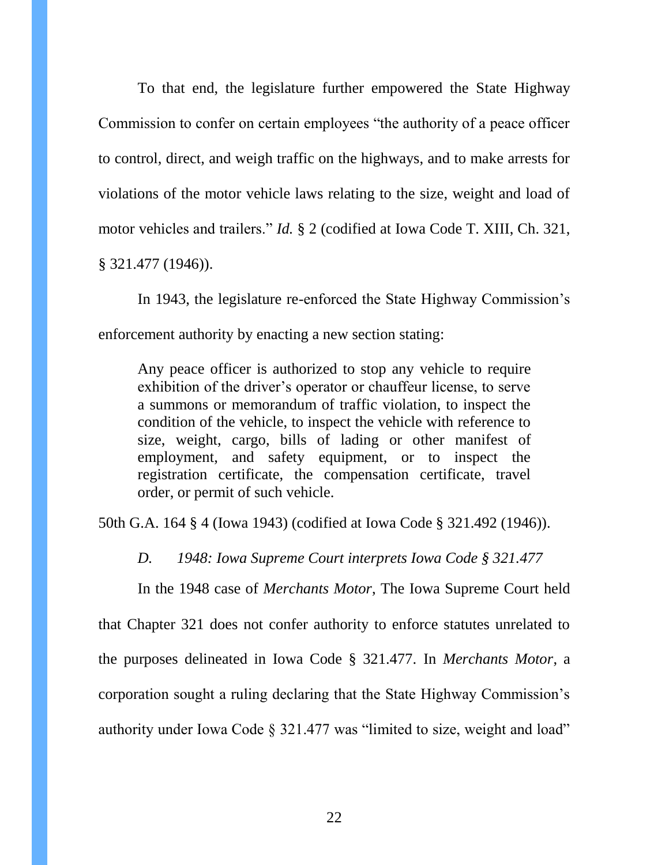To that end, the legislature further empowered the State Highway Commission to confer on certain employees "the authority of a peace officer to control, direct, and weigh traffic on the highways, and to make arrests for violations of the motor vehicle laws relating to the size, weight and load of motor vehicles and trailers." *Id.* § 2 (codified at Iowa Code T. XIII, Ch. 321, § 321.477 (1946)).

In 1943, the legislature re-enforced the State Highway Commission's enforcement authority by enacting a new section stating:

Any peace officer is authorized to stop any vehicle to require exhibition of the driver's operator or chauffeur license, to serve a summons or memorandum of traffic violation, to inspect the condition of the vehicle, to inspect the vehicle with reference to size, weight, cargo, bills of lading or other manifest of employment, and safety equipment, or to inspect the registration certificate, the compensation certificate, travel order, or permit of such vehicle.

50th G.A. 164 § 4 (Iowa 1943) (codified at Iowa Code § 321.492 (1946)).

*D. 1948: Iowa Supreme Court interprets Iowa Code § 321.477*

In the 1948 case of *Merchants Motor*, The Iowa Supreme Court held that Chapter 321 does not confer authority to enforce statutes unrelated to the purposes delineated in Iowa Code § 321.477. In *Merchants Motor*, a corporation sought a ruling declaring that the State Highway Commission's authority under Iowa Code § 321.477 was "limited to size, weight and load"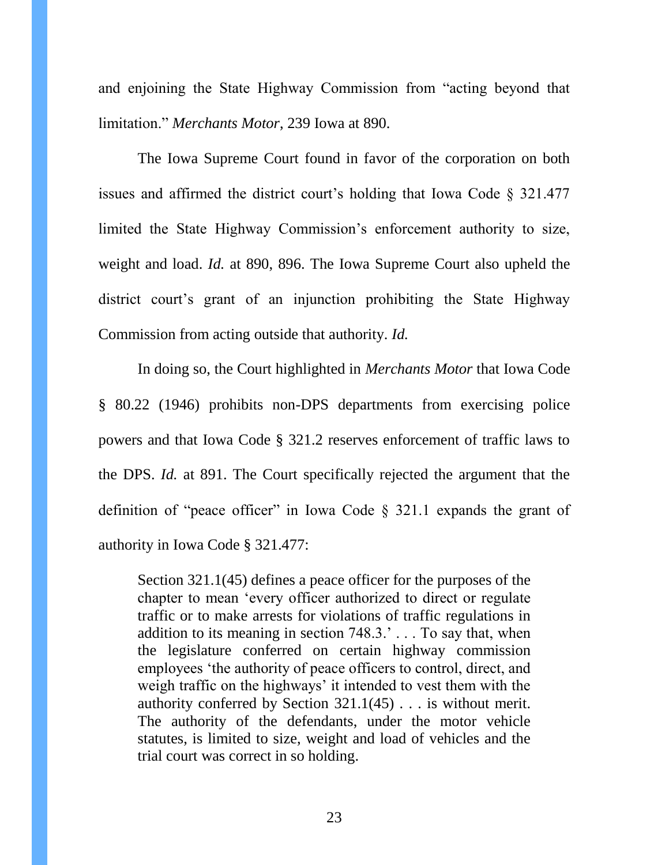and enjoining the State Highway Commission from "acting beyond that limitation." *Merchants Motor*, 239 Iowa at 890.

The Iowa Supreme Court found in favor of the corporation on both issues and affirmed the district court's holding that Iowa Code § 321.477 limited the State Highway Commission's enforcement authority to size, weight and load. *Id.* at 890, 896. The Iowa Supreme Court also upheld the district court's grant of an injunction prohibiting the State Highway Commission from acting outside that authority. *Id.*

In doing so, the Court highlighted in *Merchants Motor* that Iowa Code § 80.22 (1946) prohibits non-DPS departments from exercising police powers and that Iowa Code § 321.2 reserves enforcement of traffic laws to the DPS. *Id.* at 891. The Court specifically rejected the argument that the definition of "peace officer" in Iowa Code  $\S$  321.1 expands the grant of authority in Iowa Code § 321.477:

Section 321.1(45) defines a peace officer for the purposes of the chapter to mean 'every officer authorized to direct or regulate traffic or to make arrests for violations of traffic regulations in addition to its meaning in section 748.3.' . . . To say that, when the legislature conferred on certain highway commission employees 'the authority of peace officers to control, direct, and weigh traffic on the highways' it intended to vest them with the authority conferred by Section 321.1(45) . . . is without merit. The authority of the defendants, under the motor vehicle statutes, is limited to size, weight and load of vehicles and the trial court was correct in so holding.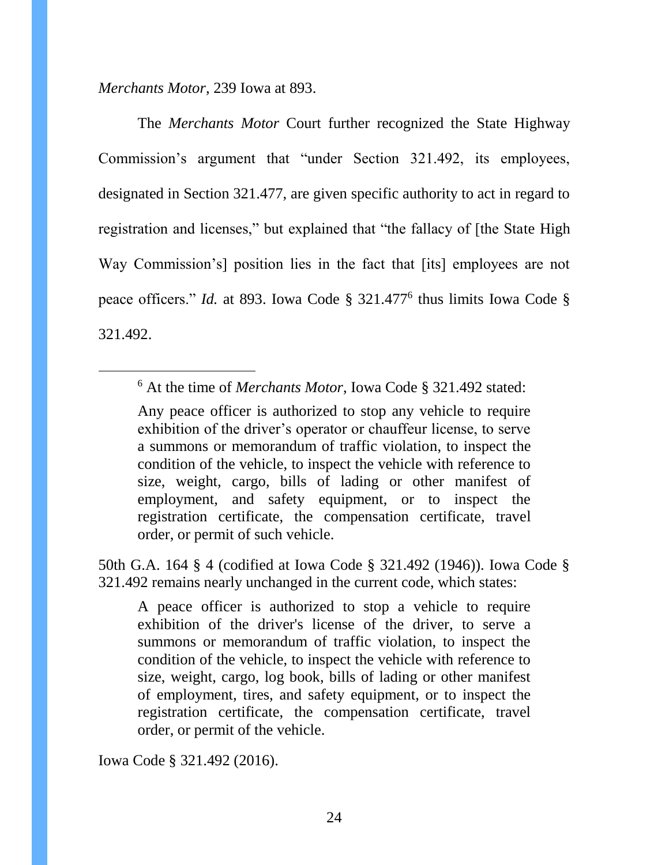*Merchants Motor*, 239 Iowa at 893.

 $\overline{a}$ 

The *Merchants Motor* Court further recognized the State Highway Commission's argument that "under Section 321.492, its employees, designated in Section 321.477, are given specific authority to act in regard to registration and licenses," but explained that "the fallacy of [the State High Way Commission's] position lies in the fact that [its] employees are not peace officers." *Id.* at 893. Iowa Code § 321.477<sup>6</sup> thus limits Iowa Code § 321.492.

50th G.A. 164 § 4 (codified at Iowa Code § 321.492 (1946)). Iowa Code § 321.492 remains nearly unchanged in the current code, which states:

A peace officer is authorized to stop a vehicle to require exhibition of the driver's license of the driver, to serve a summons or memorandum of traffic violation, to inspect the condition of the vehicle, to inspect the vehicle with reference to size, weight, cargo, log book, bills of lading or other manifest of employment, tires, and safety equipment, or to inspect the registration certificate, the compensation certificate, travel order, or permit of the vehicle.

Iowa Code § 321.492 (2016).

<sup>6</sup> At the time of *Merchants Motor*, Iowa Code § 321.492 stated:

Any peace officer is authorized to stop any vehicle to require exhibition of the driver's operator or chauffeur license, to serve a summons or memorandum of traffic violation, to inspect the condition of the vehicle, to inspect the vehicle with reference to size, weight, cargo, bills of lading or other manifest of employment, and safety equipment, or to inspect the registration certificate, the compensation certificate, travel order, or permit of such vehicle.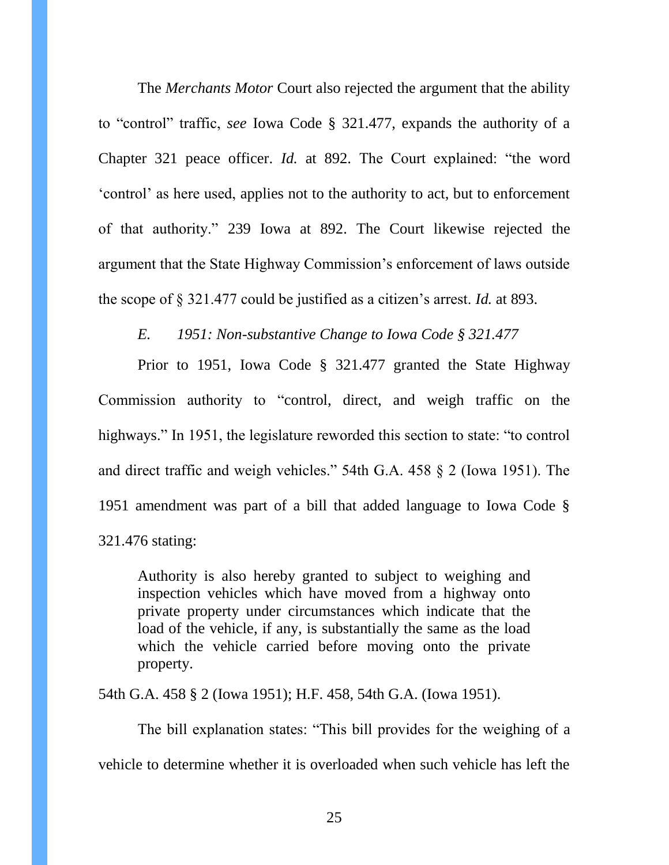The *Merchants Motor* Court also rejected the argument that the ability to "control" traffic, *see* Iowa Code § 321.477, expands the authority of a Chapter 321 peace officer. *Id.* at 892. The Court explained: "the word 'control' as here used, applies not to the authority to act, but to enforcement of that authority." 239 Iowa at 892. The Court likewise rejected the argument that the State Highway Commission's enforcement of laws outside the scope of § 321.477 could be justified as a citizen's arrest. *Id.* at 893.

*E. 1951: Non-substantive Change to Iowa Code § 321.477*

Prior to 1951, Iowa Code § 321.477 granted the State Highway Commission authority to "control, direct, and weigh traffic on the highways." In 1951, the legislature reworded this section to state: "to control and direct traffic and weigh vehicles." 54th G.A. 458 § 2 (Iowa 1951). The 1951 amendment was part of a bill that added language to Iowa Code § 321.476 stating:

Authority is also hereby granted to subject to weighing and inspection vehicles which have moved from a highway onto private property under circumstances which indicate that the load of the vehicle, if any, is substantially the same as the load which the vehicle carried before moving onto the private property.

54th G.A. 458 § 2 (Iowa 1951); H.F. 458, 54th G.A. (Iowa 1951).

The bill explanation states: "This bill provides for the weighing of a vehicle to determine whether it is overloaded when such vehicle has left the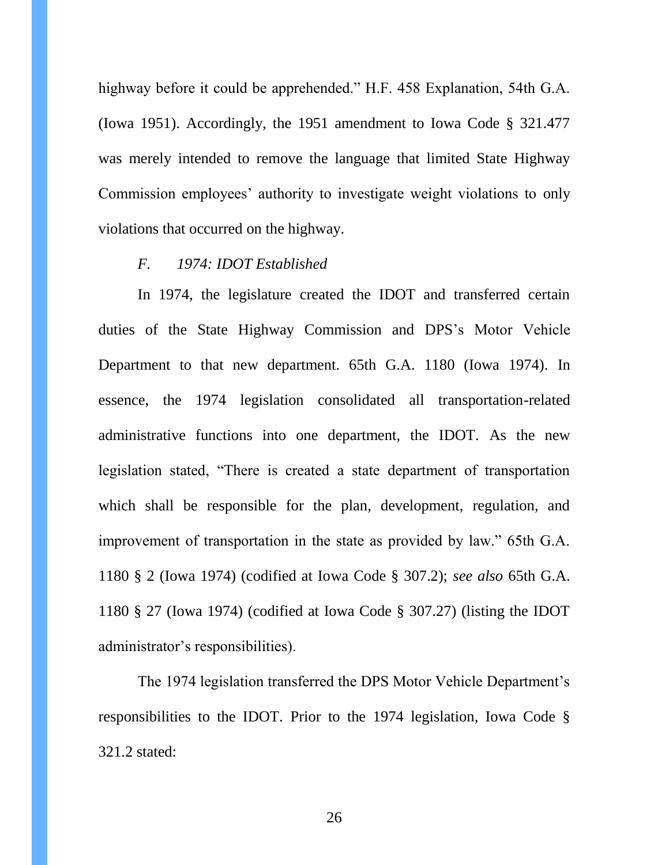highway before it could be apprehended." H.F. 458 Explanation, 54th G.A. (Iowa 1951). Accordingly, the 1951 amendment to Iowa Code § 321.477 was merely intended to remove the language that limited State Highway Commission employees' authority to investigate weight violations to only violations that occurred on the highway.

### *F. 1974: IDOT Established*

In 1974, the legislature created the IDOT and transferred certain duties of the State Highway Commission and DPS's Motor Vehicle Department to that new department. 65th G.A. 1180 (Iowa 1974). In essence, the 1974 legislation consolidated all transportation-related administrative functions into one department, the IDOT. As the new legislation stated, "There is created a state department of transportation which shall be responsible for the plan, development, regulation, and improvement of transportation in the state as provided by law." 65th G.A. 1180 § 2 (Iowa 1974) (codified at Iowa Code § 307.2); *see also* 65th G.A. 1180 § 27 (Iowa 1974) (codified at Iowa Code § 307.27) (listing the IDOT administrator's responsibilities).

The 1974 legislation transferred the DPS Motor Vehicle Department's responsibilities to the IDOT. Prior to the 1974 legislation, Iowa Code § 321.2 stated: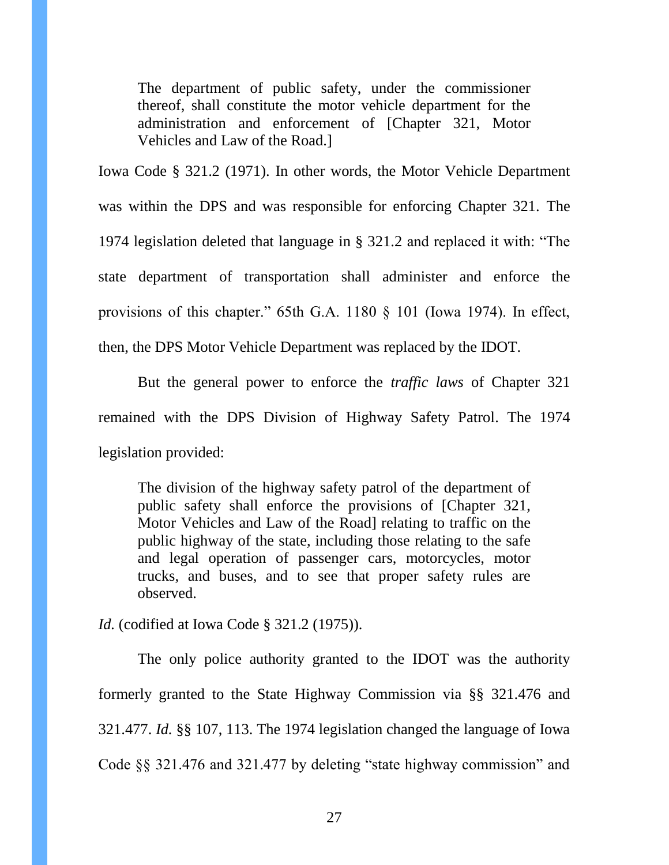The department of public safety, under the commissioner thereof, shall constitute the motor vehicle department for the administration and enforcement of [Chapter 321, Motor Vehicles and Law of the Road.]

Iowa Code § 321.2 (1971). In other words, the Motor Vehicle Department was within the DPS and was responsible for enforcing Chapter 321. The 1974 legislation deleted that language in § 321.2 and replaced it with: "The state department of transportation shall administer and enforce the provisions of this chapter." 65th G.A. 1180 § 101 (Iowa 1974). In effect, then, the DPS Motor Vehicle Department was replaced by the IDOT.

But the general power to enforce the *traffic laws* of Chapter 321 remained with the DPS Division of Highway Safety Patrol. The 1974 legislation provided:

The division of the highway safety patrol of the department of public safety shall enforce the provisions of [Chapter 321, Motor Vehicles and Law of the Road] relating to traffic on the public highway of the state, including those relating to the safe and legal operation of passenger cars, motorcycles, motor trucks, and buses, and to see that proper safety rules are observed.

*Id.* (codified at Iowa Code § 321.2 (1975)).

The only police authority granted to the IDOT was the authority formerly granted to the State Highway Commission via §§ 321.476 and 321.477. *Id.* §§ 107, 113. The 1974 legislation changed the language of Iowa Code §§ 321.476 and 321.477 by deleting "state highway commission" and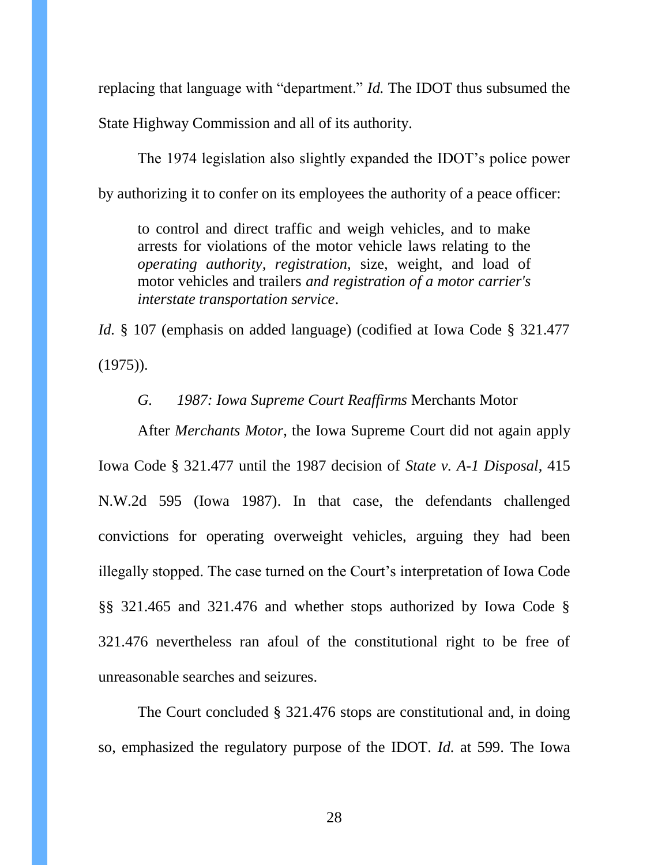replacing that language with "department." *Id.* The IDOT thus subsumed the State Highway Commission and all of its authority.

The 1974 legislation also slightly expanded the IDOT's police power by authorizing it to confer on its employees the authority of a peace officer:

to control and direct traffic and weigh vehicles, and to make arrests for violations of the motor vehicle laws relating to the *operating authority, registration,* size, weight, and load of motor vehicles and trailers *and registration of a motor carrier's interstate transportation service*.

*Id.* § 107 (emphasis on added language) (codified at Iowa Code § 321.477 (1975)).

#### *G. 1987: Iowa Supreme Court Reaffirms* Merchants Motor

After *Merchants Motor*, the Iowa Supreme Court did not again apply Iowa Code § 321.477 until the 1987 decision of *State v. A-1 Disposal*, 415 N.W.2d 595 (Iowa 1987). In that case, the defendants challenged convictions for operating overweight vehicles, arguing they had been illegally stopped. The case turned on the Court's interpretation of Iowa Code §§ 321.465 and 321.476 and whether stops authorized by Iowa Code § 321.476 nevertheless ran afoul of the constitutional right to be free of unreasonable searches and seizures.

The Court concluded § 321.476 stops are constitutional and, in doing so, emphasized the regulatory purpose of the IDOT. *Id.* at 599. The Iowa

28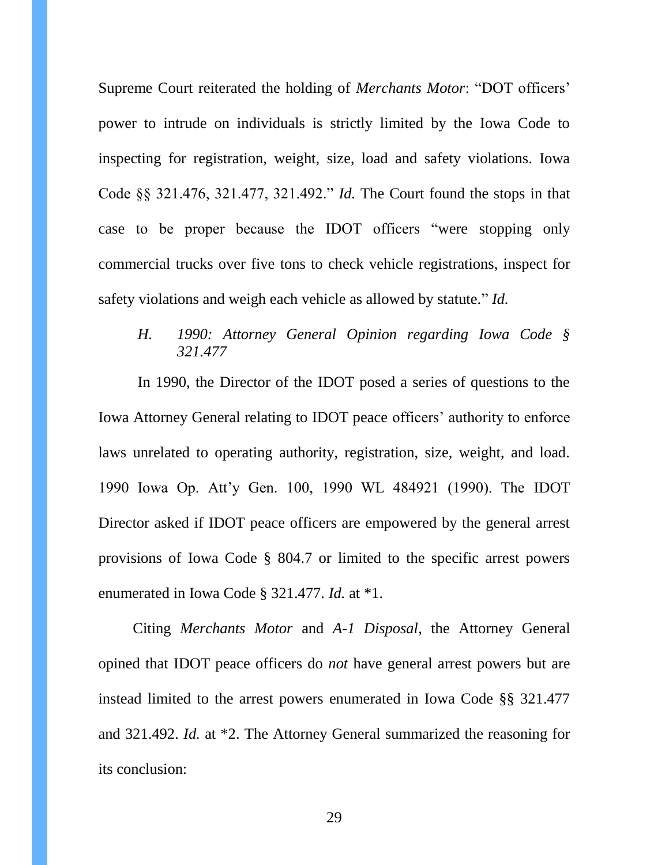Supreme Court reiterated the holding of *Merchants Motor*: "DOT officers' power to intrude on individuals is strictly limited by the Iowa Code to inspecting for registration, weight, size, load and safety violations. Iowa Code §§ 321.476, 321.477, 321.492." *Id.* The Court found the stops in that case to be proper because the IDOT officers "were stopping only commercial trucks over five tons to check vehicle registrations, inspect for safety violations and weigh each vehicle as allowed by statute." *Id.* 

## *H. 1990: Attorney General Opinion regarding Iowa Code § 321.477*

In 1990, the Director of the IDOT posed a series of questions to the Iowa Attorney General relating to IDOT peace officers' authority to enforce laws unrelated to operating authority, registration, size, weight, and load. 1990 Iowa Op. Att'y Gen. 100, 1990 WL 484921 (1990). The IDOT Director asked if IDOT peace officers are empowered by the general arrest provisions of Iowa Code § 804.7 or limited to the specific arrest powers enumerated in Iowa Code § 321.477. *Id.* at \*1.

Citing *Merchants Motor* and *A-1 Disposal*, the Attorney General opined that IDOT peace officers do *not* have general arrest powers but are instead limited to the arrest powers enumerated in Iowa Code §§ 321.477 and 321.492. *Id.* at \*2. The Attorney General summarized the reasoning for its conclusion: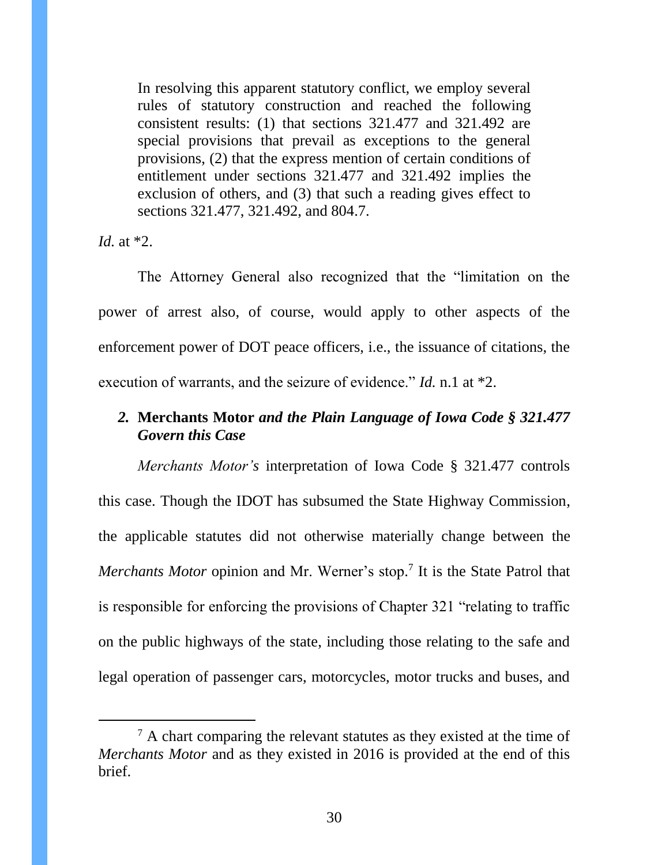In resolving this apparent statutory conflict, we employ several rules of statutory construction and reached the following consistent results: (1) that sections 321.477 and 321.492 are special provisions that prevail as exceptions to the general provisions, (2) that the express mention of certain conditions of entitlement under sections 321.477 and 321.492 implies the exclusion of others, and (3) that such a reading gives effect to sections 321.477, 321.492, and 804.7.

*Id.* at \*2.

 $\overline{a}$ 

The Attorney General also recognized that the "limitation on the power of arrest also, of course, would apply to other aspects of the enforcement power of DOT peace officers, i.e., the issuance of citations, the execution of warrants, and the seizure of evidence." *Id.* n.1 at \*2.

# <span id="page-29-0"></span>*2.* **Merchants Motor** *and the Plain Language of Iowa Code § 321.477 Govern this Case*

*Merchants Motor's* interpretation of Iowa Code § 321.477 controls this case. Though the IDOT has subsumed the State Highway Commission, the applicable statutes did not otherwise materially change between the *Merchants Motor* opinion and Mr. Werner's stop. 7 It is the State Patrol that is responsible for enforcing the provisions of Chapter 321 "relating to traffic on the public highways of the state, including those relating to the safe and legal operation of passenger cars, motorcycles, motor trucks and buses, and

 $<sup>7</sup>$  A chart comparing the relevant statutes as they existed at the time of</sup> *Merchants Motor* and as they existed in 2016 is provided at the end of this brief.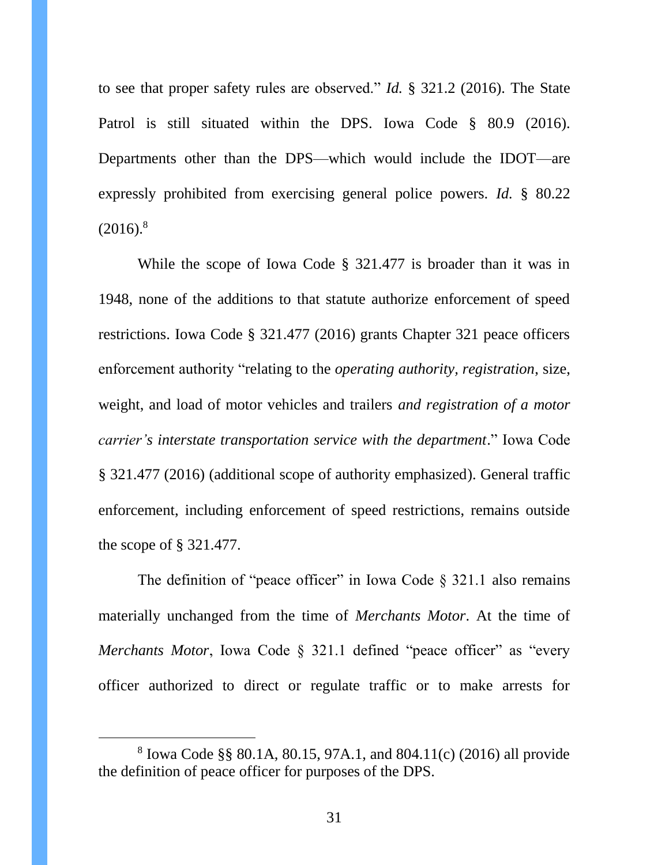to see that proper safety rules are observed." *Id.* § 321.2 (2016). The State Patrol is still situated within the DPS. Iowa Code § 80.9 (2016). Departments other than the DPS—which would include the IDOT—are expressly prohibited from exercising general police powers. *Id.* § 80.22  $(2016).$ <sup>8</sup>

While the scope of Iowa Code § 321.477 is broader than it was in 1948, none of the additions to that statute authorize enforcement of speed restrictions. Iowa Code § 321.477 (2016) grants Chapter 321 peace officers enforcement authority "relating to the *operating authority, registration*, size, weight, and load of motor vehicles and trailers *and registration of a motor carrier's interstate transportation service with the department*." Iowa Code § 321.477 (2016) (additional scope of authority emphasized). General traffic enforcement, including enforcement of speed restrictions, remains outside the scope of § 321.477.

The definition of "peace officer" in Iowa Code  $\S$  321.1 also remains materially unchanged from the time of *Merchants Motor*. At the time of *Merchants Motor*, Iowa Code § 321.1 defined "peace officer" as "every officer authorized to direct or regulate traffic or to make arrests for

 $\overline{a}$ 

<sup>8</sup> Iowa Code §§ 80.1A, 80.15, 97A.1, and 804.11(c) (2016) all provide the definition of peace officer for purposes of the DPS.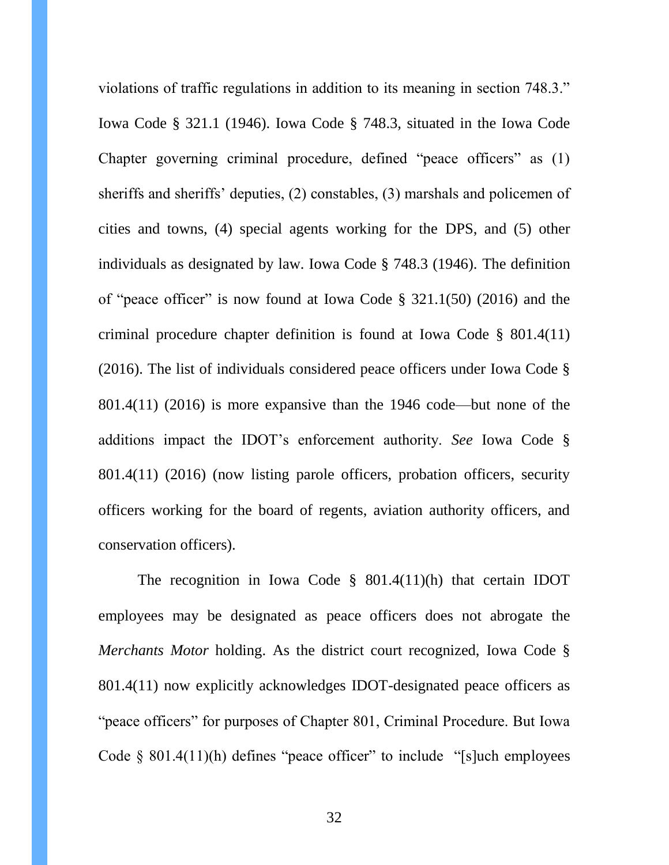violations of traffic regulations in addition to its meaning in section 748.3." Iowa Code § 321.1 (1946). Iowa Code § 748.3, situated in the Iowa Code Chapter governing criminal procedure, defined "peace officers" as (1) sheriffs and sheriffs' deputies, (2) constables, (3) marshals and policemen of cities and towns, (4) special agents working for the DPS, and (5) other individuals as designated by law. Iowa Code § 748.3 (1946). The definition of "peace officer" is now found at Iowa Code § 321.1(50) (2016) and the criminal procedure chapter definition is found at Iowa Code § 801.4(11) (2016). The list of individuals considered peace officers under Iowa Code § 801.4(11) (2016) is more expansive than the 1946 code—but none of the additions impact the IDOT's enforcement authority. *See* Iowa Code § 801.4(11) (2016) (now listing parole officers, probation officers, security officers working for the board of regents, aviation authority officers, and conservation officers).

The recognition in Iowa Code § 801.4(11)(h) that certain IDOT employees may be designated as peace officers does not abrogate the *Merchants Motor* holding. As the district court recognized, Iowa Code § 801.4(11) now explicitly acknowledges IDOT-designated peace officers as "peace officers" for purposes of Chapter 801, Criminal Procedure. But Iowa Code  $\S$  801.4(11)(h) defines "peace officer" to include "[s]uch employees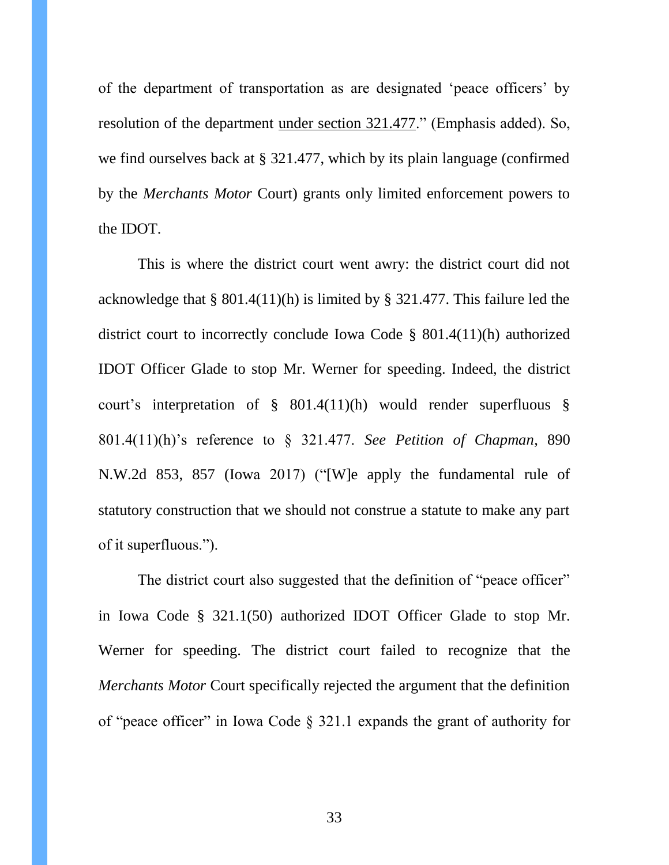of the department of transportation as are designated 'peace officers' by resolution of the department under section 321.477." (Emphasis added). So, we find ourselves back at § 321.477, which by its plain language (confirmed by the *Merchants Motor* Court) grants only limited enforcement powers to the IDOT.

This is where the district court went awry: the district court did not acknowledge that § 801.4(11)(h) is limited by § 321.477. This failure led the district court to incorrectly conclude Iowa Code § 801.4(11)(h) authorized IDOT Officer Glade to stop Mr. Werner for speeding. Indeed, the district court's interpretation of § 801.4(11)(h) would render superfluous § 801.4(11)(h)'s reference to § 321.477. *See Petition of Chapman*, 890 N.W.2d 853, 857 (Iowa 2017) ("[W]e apply the fundamental rule of statutory construction that we should not construe a statute to make any part of it superfluous.").

The district court also suggested that the definition of "peace officer" in Iowa Code § 321.1(50) authorized IDOT Officer Glade to stop Mr. Werner for speeding. The district court failed to recognize that the *Merchants Motor* Court specifically rejected the argument that the definition of "peace officer" in Iowa Code § 321.1 expands the grant of authority for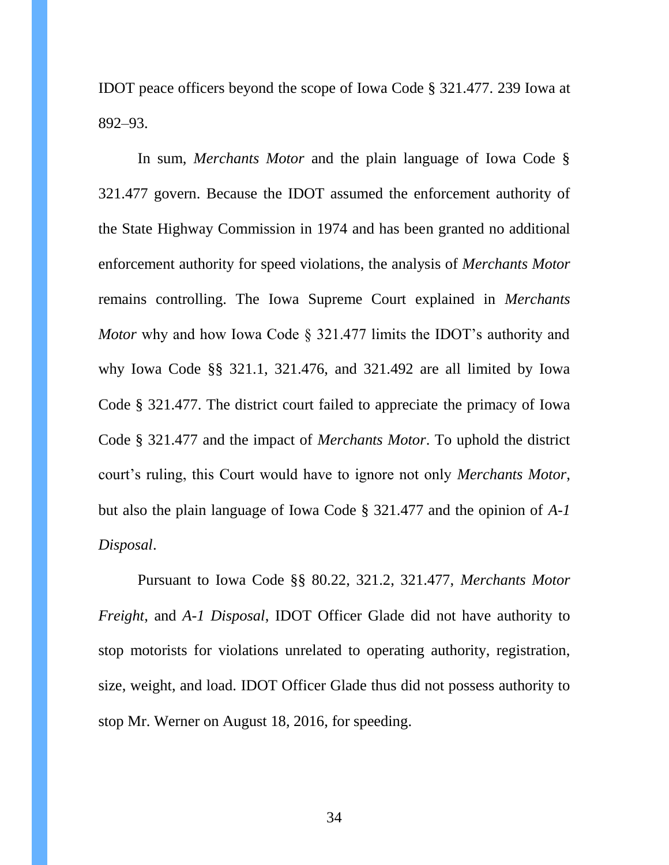IDOT peace officers beyond the scope of Iowa Code § 321.477. 239 Iowa at 892–93.

In sum, *Merchants Motor* and the plain language of Iowa Code § 321.477 govern. Because the IDOT assumed the enforcement authority of the State Highway Commission in 1974 and has been granted no additional enforcement authority for speed violations, the analysis of *Merchants Motor*  remains controlling. The Iowa Supreme Court explained in *Merchants Motor* why and how Iowa Code § 321.477 limits the IDOT's authority and why Iowa Code §§ 321.1, 321.476, and 321.492 are all limited by Iowa Code § 321.477. The district court failed to appreciate the primacy of Iowa Code § 321.477 and the impact of *Merchants Motor*. To uphold the district court's ruling, this Court would have to ignore not only *Merchants Motor*, but also the plain language of Iowa Code § 321.477 and the opinion of *A-1 Disposal*.

Pursuant to Iowa Code §§ 80.22, 321.2, 321.477, *Merchants Motor Freight*, and *A-1 Disposal*, IDOT Officer Glade did not have authority to stop motorists for violations unrelated to operating authority, registration, size, weight, and load. IDOT Officer Glade thus did not possess authority to stop Mr. Werner on August 18, 2016, for speeding.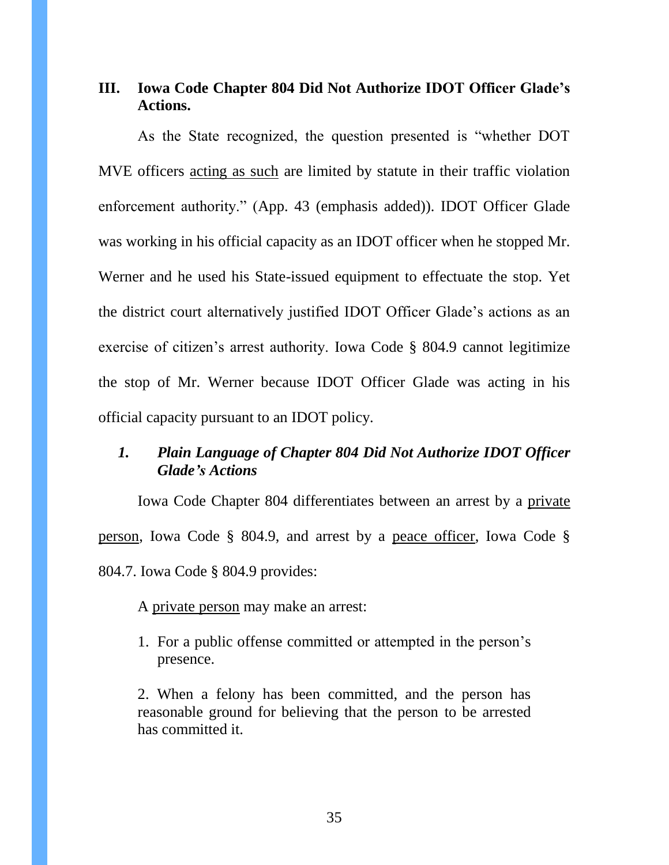## <span id="page-34-0"></span>**III. Iowa Code Chapter 804 Did Not Authorize IDOT Officer Glade's Actions.**

As the State recognized, the question presented is "whether DOT MVE officers acting as such are limited by statute in their traffic violation enforcement authority." (App. 43 (emphasis added)). IDOT Officer Glade was working in his official capacity as an IDOT officer when he stopped Mr. Werner and he used his State-issued equipment to effectuate the stop. Yet the district court alternatively justified IDOT Officer Glade's actions as an exercise of citizen's arrest authority. Iowa Code § 804.9 cannot legitimize the stop of Mr. Werner because IDOT Officer Glade was acting in his official capacity pursuant to an IDOT policy.

## <span id="page-34-1"></span>*1. Plain Language of Chapter 804 Did Not Authorize IDOT Officer Glade's Actions*

Iowa Code Chapter 804 differentiates between an arrest by a private person, Iowa Code § 804.9, and arrest by a peace officer, Iowa Code § 804.7. Iowa Code § 804.9 provides:

A private person may make an arrest:

1. For a public offense committed or attempted in the person's presence.

2. When a felony has been committed, and the person has reasonable ground for believing that the person to be arrested has committed it.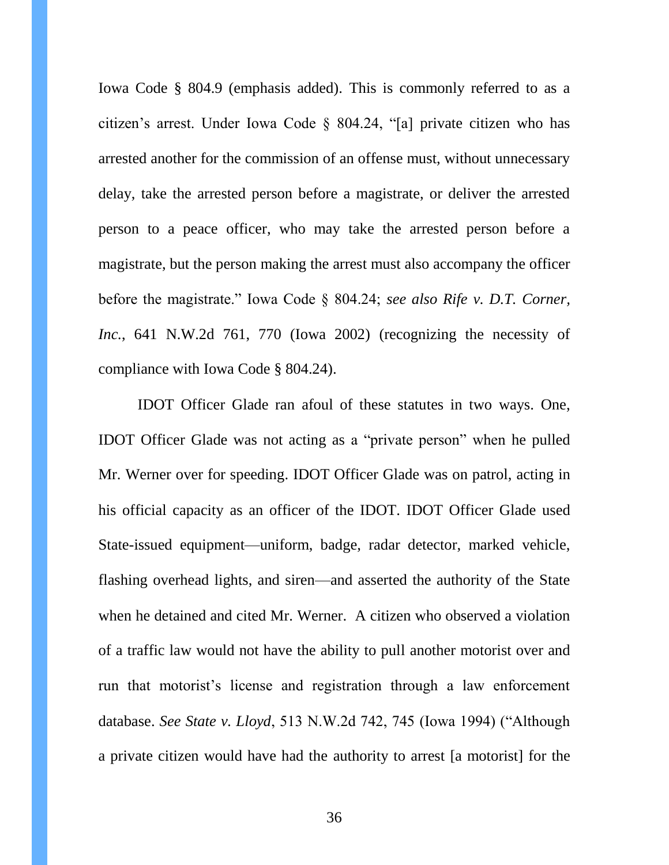Iowa Code § 804.9 (emphasis added). This is commonly referred to as a citizen's arrest. Under Iowa Code § 804.24, "[a] private citizen who has arrested another for the commission of an offense must, without unnecessary delay, take the arrested person before a magistrate, or deliver the arrested person to a peace officer, who may take the arrested person before a magistrate, but the person making the arrest must also accompany the officer before the magistrate." Iowa Code § 804.24; *see also Rife v. D.T. Corner, Inc.*, 641 N.W.2d 761, 770 (Iowa 2002) (recognizing the necessity of compliance with Iowa Code § 804.24).

IDOT Officer Glade ran afoul of these statutes in two ways. One, IDOT Officer Glade was not acting as a "private person" when he pulled Mr. Werner over for speeding. IDOT Officer Glade was on patrol, acting in his official capacity as an officer of the IDOT. IDOT Officer Glade used State-issued equipment—uniform, badge, radar detector, marked vehicle, flashing overhead lights, and siren—and asserted the authority of the State when he detained and cited Mr. Werner. A citizen who observed a violation of a traffic law would not have the ability to pull another motorist over and run that motorist's license and registration through a law enforcement database. *See State v. Lloyd*, 513 N.W.2d 742, 745 (Iowa 1994) ("Although a private citizen would have had the authority to arrest [a motorist] for the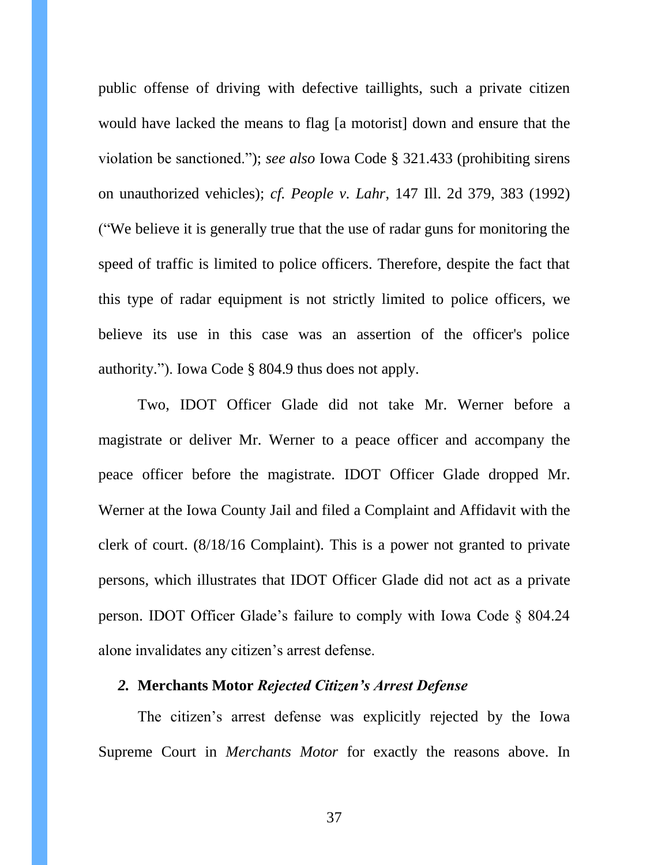public offense of driving with defective taillights, such a private citizen would have lacked the means to flag [a motorist] down and ensure that the violation be sanctioned."); *see also* Iowa Code § 321.433 (prohibiting sirens on unauthorized vehicles); *cf. People v. Lahr*, 147 Ill. 2d 379, 383 (1992) ("We believe it is generally true that the use of radar guns for monitoring the speed of traffic is limited to police officers. Therefore, despite the fact that this type of radar equipment is not strictly limited to police officers, we believe its use in this case was an assertion of the officer's police authority."). Iowa Code § 804.9 thus does not apply.

Two, IDOT Officer Glade did not take Mr. Werner before a magistrate or deliver Mr. Werner to a peace officer and accompany the peace officer before the magistrate. IDOT Officer Glade dropped Mr. Werner at the Iowa County Jail and filed a Complaint and Affidavit with the clerk of court. (8/18/16 Complaint). This is a power not granted to private persons, which illustrates that IDOT Officer Glade did not act as a private person. IDOT Officer Glade's failure to comply with Iowa Code § 804.24 alone invalidates any citizen's arrest defense.

### <span id="page-36-0"></span>*2.* **Merchants Motor** *Rejected Citizen's Arrest Defense*

The citizen's arrest defense was explicitly rejected by the Iowa Supreme Court in *Merchants Motor* for exactly the reasons above. In

37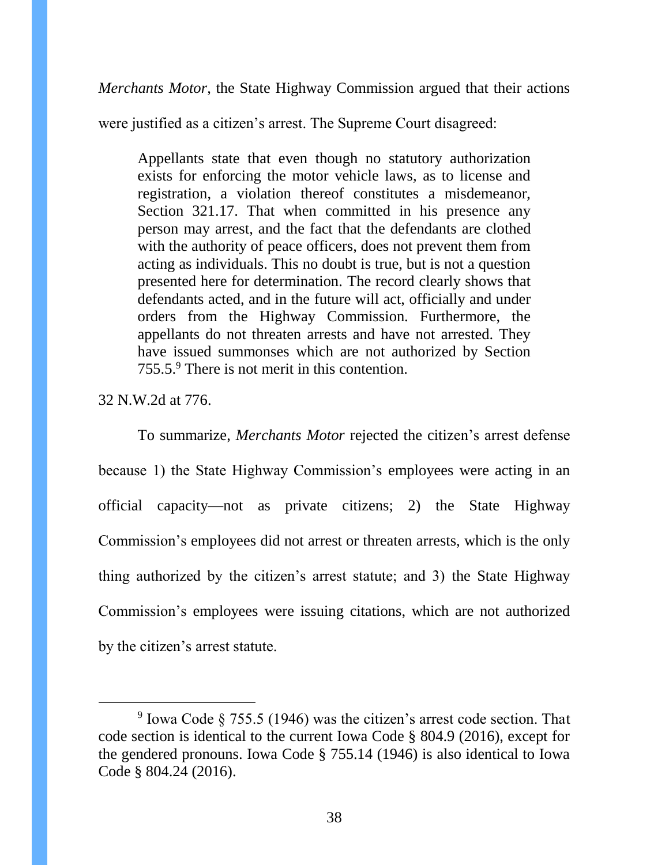*Merchants Motor*, the State Highway Commission argued that their actions

were justified as a citizen's arrest. The Supreme Court disagreed:

Appellants state that even though no statutory authorization exists for enforcing the motor vehicle laws, as to license and registration, a violation thereof constitutes a misdemeanor, Section 321.17. That when committed in his presence any person may arrest, and the fact that the defendants are clothed with the authority of peace officers, does not prevent them from acting as individuals. This no doubt is true, but is not a question presented here for determination. The record clearly shows that defendants acted, and in the future will act, officially and under orders from the Highway Commission. Furthermore, the appellants do not threaten arrests and have not arrested. They have issued summonses which are not authorized by Section 755.5.<sup>9</sup> There is not merit in this contention.

32 N.W.2d at 776.

 $\overline{a}$ 

To summarize, *Merchants Motor* rejected the citizen's arrest defense because 1) the State Highway Commission's employees were acting in an official capacity—not as private citizens; 2) the State Highway Commission's employees did not arrest or threaten arrests, which is the only thing authorized by the citizen's arrest statute; and 3) the State Highway Commission's employees were issuing citations, which are not authorized by the citizen's arrest statute.

<sup>&</sup>lt;sup>9</sup> Iowa Code § 755.5 (1946) was the citizen's arrest code section. That code section is identical to the current Iowa Code § 804.9 (2016), except for the gendered pronouns. Iowa Code § 755.14 (1946) is also identical to Iowa Code § 804.24 (2016).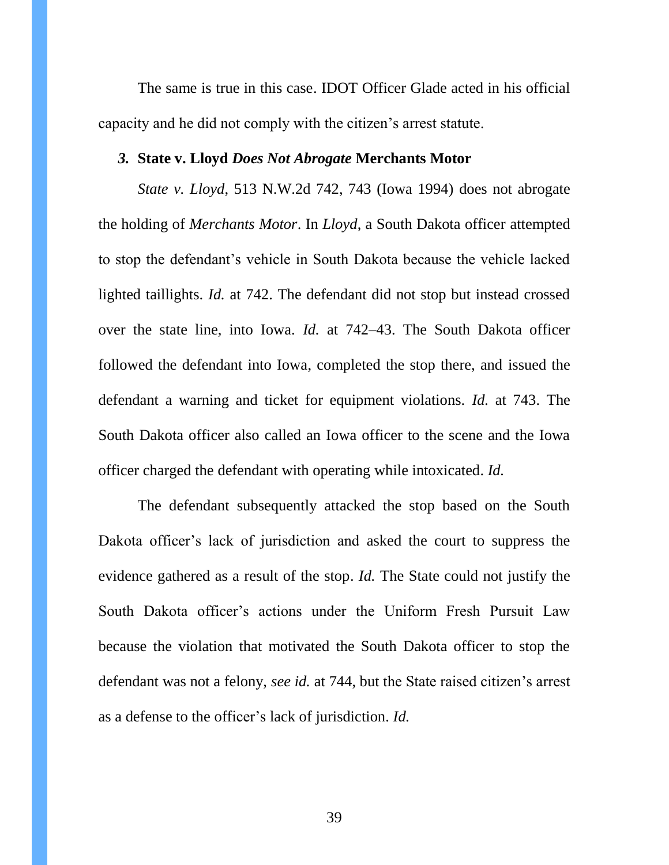The same is true in this case. IDOT Officer Glade acted in his official capacity and he did not comply with the citizen's arrest statute.

#### <span id="page-38-0"></span>*3.* **State v. Lloyd** *Does Not Abrogate* **Merchants Motor**

*State v. Lloyd*, 513 N.W.2d 742, 743 (Iowa 1994) does not abrogate the holding of *Merchants Motor*. In *Lloyd*, a South Dakota officer attempted to stop the defendant's vehicle in South Dakota because the vehicle lacked lighted taillights. *Id.* at 742. The defendant did not stop but instead crossed over the state line, into Iowa. *Id.* at 742–43. The South Dakota officer followed the defendant into Iowa, completed the stop there, and issued the defendant a warning and ticket for equipment violations. *Id.* at 743. The South Dakota officer also called an Iowa officer to the scene and the Iowa officer charged the defendant with operating while intoxicated. *Id.* 

The defendant subsequently attacked the stop based on the South Dakota officer's lack of jurisdiction and asked the court to suppress the evidence gathered as a result of the stop. *Id.* The State could not justify the South Dakota officer's actions under the Uniform Fresh Pursuit Law because the violation that motivated the South Dakota officer to stop the defendant was not a felony, *see id.* at 744, but the State raised citizen's arrest as a defense to the officer's lack of jurisdiction. *Id.*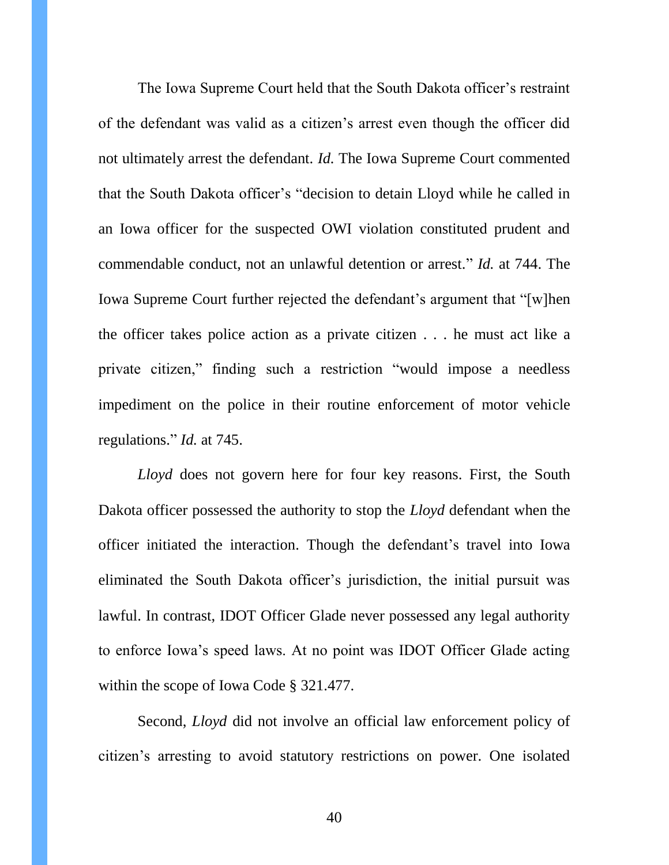The Iowa Supreme Court held that the South Dakota officer's restraint of the defendant was valid as a citizen's arrest even though the officer did not ultimately arrest the defendant. *Id.* The Iowa Supreme Court commented that the South Dakota officer's "decision to detain Lloyd while he called in an Iowa officer for the suspected OWI violation constituted prudent and commendable conduct, not an unlawful detention or arrest." *Id.* at 744. The Iowa Supreme Court further rejected the defendant's argument that "[w]hen the officer takes police action as a private citizen . . . he must act like a private citizen," finding such a restriction "would impose a needless impediment on the police in their routine enforcement of motor vehicle regulations." *Id.* at 745.

*Lloyd* does not govern here for four key reasons. First, the South Dakota officer possessed the authority to stop the *Lloyd* defendant when the officer initiated the interaction. Though the defendant's travel into Iowa eliminated the South Dakota officer's jurisdiction, the initial pursuit was lawful. In contrast, IDOT Officer Glade never possessed any legal authority to enforce Iowa's speed laws. At no point was IDOT Officer Glade acting within the scope of Iowa Code § 321.477.

Second, *Lloyd* did not involve an official law enforcement policy of citizen's arresting to avoid statutory restrictions on power. One isolated

40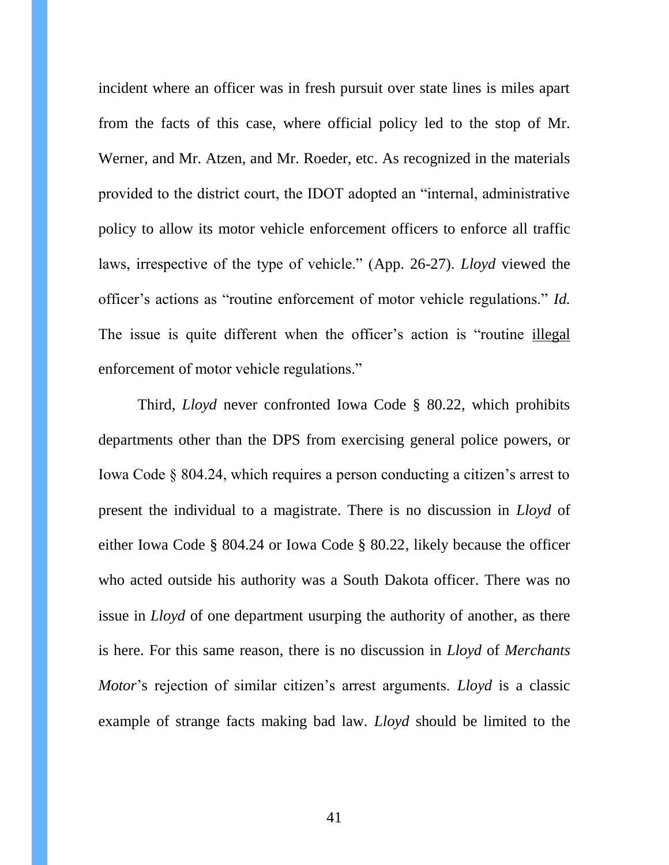incident where an officer was in fresh pursuit over state lines is miles apart from the facts of this case, where official policy led to the stop of Mr. Werner, and Mr. Atzen, and Mr. Roeder, etc. As recognized in the materials provided to the district court, the IDOT adopted an "internal, administrative policy to allow its motor vehicle enforcement officers to enforce all traffic laws, irrespective of the type of vehicle." (App. 26-27). *Lloyd* viewed the officer's actions as "routine enforcement of motor vehicle regulations." *Id.*  The issue is quite different when the officer's action is "routine illegal enforcement of motor vehicle regulations."

Third, *Lloyd* never confronted Iowa Code § 80.22, which prohibits departments other than the DPS from exercising general police powers, or Iowa Code § 804.24, which requires a person conducting a citizen's arrest to present the individual to a magistrate. There is no discussion in *Lloyd* of either Iowa Code § 804.24 or Iowa Code § 80.22, likely because the officer who acted outside his authority was a South Dakota officer. There was no issue in *Lloyd* of one department usurping the authority of another, as there is here. For this same reason, there is no discussion in *Lloyd* of *Merchants Motor*'s rejection of similar citizen's arrest arguments. *Lloyd* is a classic example of strange facts making bad law. *Lloyd* should be limited to the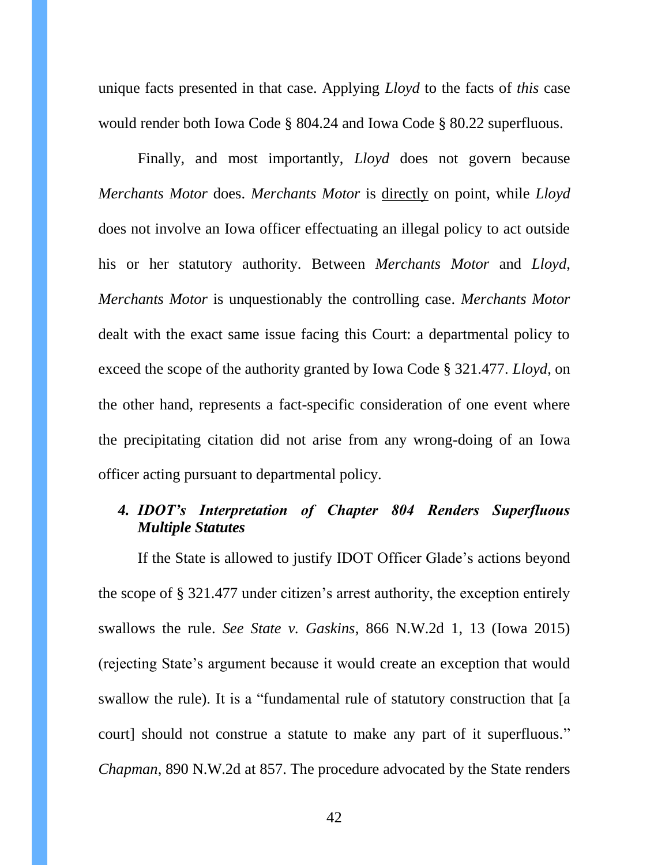unique facts presented in that case. Applying *Lloyd* to the facts of *this* case would render both Iowa Code § 804.24 and Iowa Code § 80.22 superfluous.

Finally, and most importantly, *Lloyd* does not govern because *Merchants Motor* does. *Merchants Motor* is directly on point, while *Lloyd* does not involve an Iowa officer effectuating an illegal policy to act outside his or her statutory authority. Between *Merchants Motor* and *Lloyd*, *Merchants Motor* is unquestionably the controlling case. *Merchants Motor* dealt with the exact same issue facing this Court: a departmental policy to exceed the scope of the authority granted by Iowa Code § 321.477. *Lloyd*, on the other hand, represents a fact-specific consideration of one event where the precipitating citation did not arise from any wrong-doing of an Iowa officer acting pursuant to departmental policy.

## <span id="page-41-0"></span>*4. IDOT's Interpretation of Chapter 804 Renders Superfluous Multiple Statutes*

If the State is allowed to justify IDOT Officer Glade's actions beyond the scope of § 321.477 under citizen's arrest authority, the exception entirely swallows the rule. *See State v. Gaskins*, 866 N.W.2d 1, 13 (Iowa 2015) (rejecting State's argument because it would create an exception that would swallow the rule). It is a "fundamental rule of statutory construction that [a court] should not construe a statute to make any part of it superfluous." *Chapman*, 890 N.W.2d at 857. The procedure advocated by the State renders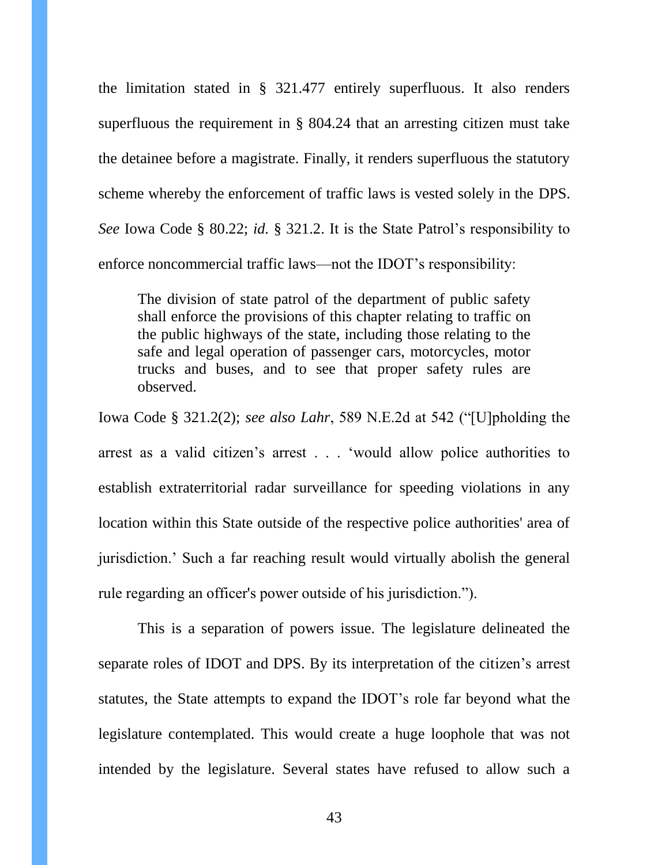the limitation stated in § 321.477 entirely superfluous. It also renders superfluous the requirement in § 804.24 that an arresting citizen must take the detainee before a magistrate. Finally, it renders superfluous the statutory scheme whereby the enforcement of traffic laws is vested solely in the DPS. *See* Iowa Code § 80.22; *id.* § 321.2. It is the State Patrol's responsibility to enforce noncommercial traffic laws—not the IDOT's responsibility:

The division of state patrol of the department of public safety shall enforce the provisions of this chapter relating to traffic on the public highways of the state, including those relating to the safe and legal operation of passenger cars, motorcycles, motor trucks and buses, and to see that proper safety rules are observed.

Iowa Code § 321.2(2); *see also Lahr*, 589 N.E.2d at 542 ("[U]pholding the arrest as a valid citizen's arrest . . . 'would allow police authorities to establish extraterritorial radar surveillance for speeding violations in any location within this State outside of the respective police authorities' area of jurisdiction.' Such a far reaching result would virtually abolish the general rule regarding an officer's power outside of his jurisdiction.").

This is a separation of powers issue. The legislature delineated the separate roles of IDOT and DPS. By its interpretation of the citizen's arrest statutes, the State attempts to expand the IDOT's role far beyond what the legislature contemplated. This would create a huge loophole that was not intended by the legislature. Several states have refused to allow such a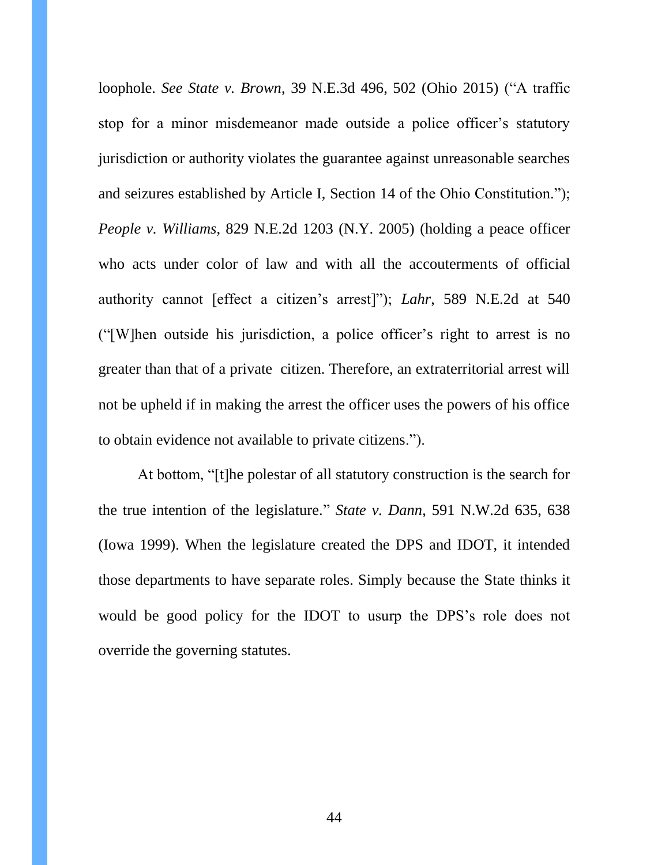loophole. *See State v. Brown*, 39 N.E.3d 496, 502 (Ohio 2015) ("A traffic stop for a minor misdemeanor made outside a police officer's statutory jurisdiction or authority violates the guarantee against unreasonable searches and seizures established by Article I, Section 14 of the Ohio Constitution."); *People v. Williams*, 829 N.E.2d 1203 (N.Y. 2005) (holding a peace officer who acts under color of law and with all the accouterments of official authority cannot [effect a citizen's arrest]"); *Lahr*, 589 N.E.2d at 540 ("[W]hen outside his jurisdiction, a police officer's right to arrest is no greater than that of a private citizen. Therefore, an extraterritorial arrest will not be upheld if in making the arrest the officer uses the powers of his office to obtain evidence not available to private citizens.").

At bottom, "[t]he polestar of all statutory construction is the search for the true intention of the legislature." *State v. Dann*, 591 N.W.2d 635, 638 (Iowa 1999). When the legislature created the DPS and IDOT, it intended those departments to have separate roles. Simply because the State thinks it would be good policy for the IDOT to usurp the DPS's role does not override the governing statutes.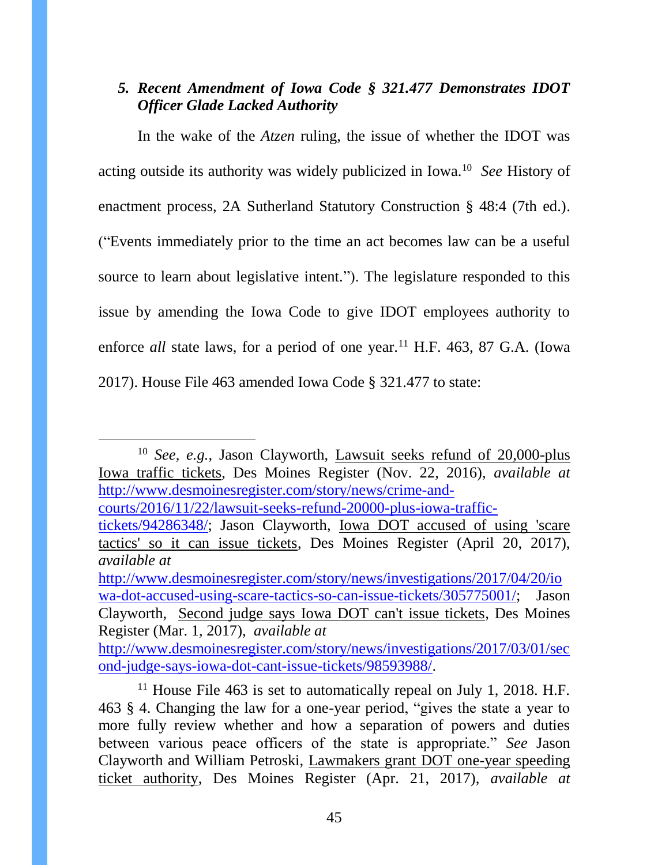# <span id="page-44-0"></span>*5. Recent Amendment of Iowa Code § 321.477 Demonstrates IDOT Officer Glade Lacked Authority*

In the wake of the *Atzen* ruling, the issue of whether the IDOT was acting outside its authority was widely publicized in Iowa.<sup>10</sup> *See* History of enactment process, 2A Sutherland Statutory Construction § 48:4 (7th ed.). ("Events immediately prior to the time an act becomes law can be a useful source to learn about legislative intent."). The legislature responded to this issue by amending the Iowa Code to give IDOT employees authority to enforce *all* state laws, for a period of one year.<sup>11</sup> H.F. 463, 87 G.A. (Iowa 2017). House File 463 amended Iowa Code § 321.477 to state:

<sup>10</sup> *See, e.g.*, Jason Clayworth, Lawsuit seeks refund of 20,000-plus Iowa traffic tickets, Des Moines Register (Nov. 22, 2016), *available at*  [http://www.desmoinesregister.com/story/news/crime-and-](http://www.desmoinesregister.com/story/news/crime-and-courts/2016/11/22/lawsuit-seeks-refund-20000-plus-iowa-traffic-tickets/94286348/)

[courts/2016/11/22/lawsuit-seeks-refund-20000-plus-iowa-traffic-](http://www.desmoinesregister.com/story/news/crime-and-courts/2016/11/22/lawsuit-seeks-refund-20000-plus-iowa-traffic-tickets/94286348/)

 $\overline{a}$ 

[http://www.desmoinesregister.com/story/news/investigations/2017/04/20/io](http://www.desmoinesregister.com/story/news/investigations/2017/04/20/iowa-dot-accused-using-scare-tactics-so-can-issue-tickets/305775001/) [wa-dot-accused-using-scare-tactics-so-can-issue-tickets/305775001/;](http://www.desmoinesregister.com/story/news/investigations/2017/04/20/iowa-dot-accused-using-scare-tactics-so-can-issue-tickets/305775001/) Jason Clayworth, Second judge says Iowa DOT can't issue tickets, Des Moines Register (Mar. 1, 2017), *available at*

[http://www.desmoinesregister.com/story/news/investigations/2017/03/01/sec](http://www.desmoinesregister.com/story/news/investigations/2017/03/01/second-judge-says-iowa-dot-cant-issue-tickets/98593988/) [ond-judge-says-iowa-dot-cant-issue-tickets/98593988/.](http://www.desmoinesregister.com/story/news/investigations/2017/03/01/second-judge-says-iowa-dot-cant-issue-tickets/98593988/)

[tickets/94286348/;](http://www.desmoinesregister.com/story/news/crime-and-courts/2016/11/22/lawsuit-seeks-refund-20000-plus-iowa-traffic-tickets/94286348/) Jason Clayworth, Iowa DOT accused of using 'scare tactics' so it can issue tickets, Des Moines Register (April 20, 2017), *available at*

<sup>&</sup>lt;sup>11</sup> House File 463 is set to automatically repeal on July 1, 2018. H.F. 463 § 4. Changing the law for a one-year period, "gives the state a year to more fully review whether and how a separation of powers and duties between various peace officers of the state is appropriate." *See* Jason Clayworth and William Petroski, Lawmakers grant DOT one-year speeding ticket authority, Des Moines Register (Apr. 21, 2017), *available at*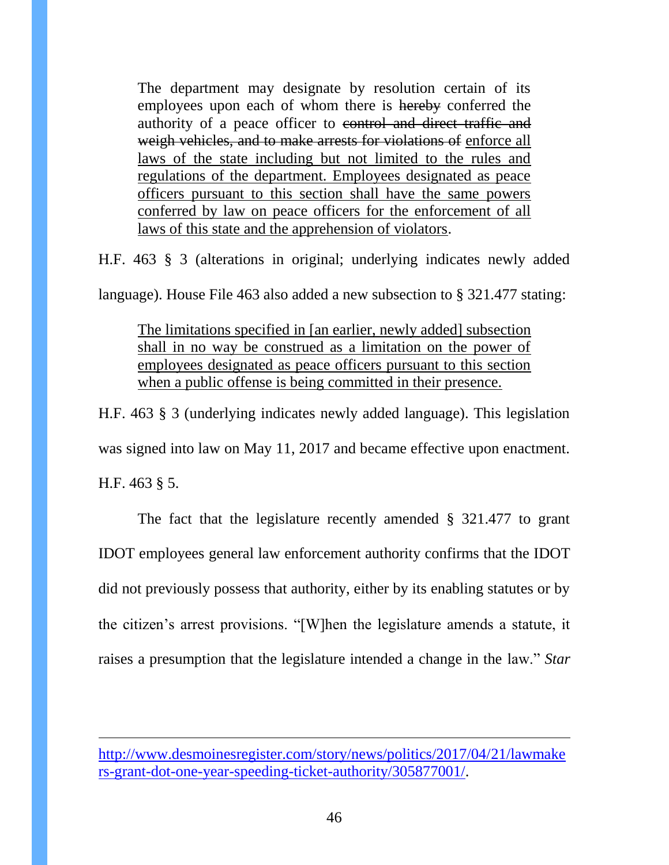The department may designate by resolution certain of its employees upon each of whom there is hereby conferred the authority of a peace officer to control and direct traffic and weigh vehicles, and to make arrests for violations of enforce all laws of the state including but not limited to the rules and regulations of the department. Employees designated as peace officers pursuant to this section shall have the same powers conferred by law on peace officers for the enforcement of all laws of this state and the apprehension of violators.

H.F. 463 § 3 (alterations in original; underlying indicates newly added

language). House File 463 also added a new subsection to § 321.477 stating:

The limitations specified in [an earlier, newly added] subsection shall in no way be construed as a limitation on the power of employees designated as peace officers pursuant to this section when a public offense is being committed in their presence.

H.F. 463 § 3 (underlying indicates newly added language). This legislation

was signed into law on May 11, 2017 and became effective upon enactment.

H.F. 463 § 5.

 $\overline{a}$ 

The fact that the legislature recently amended § 321.477 to grant IDOT employees general law enforcement authority confirms that the IDOT did not previously possess that authority, either by its enabling statutes or by the citizen's arrest provisions. "[W]hen the legislature amends a statute, it raises a presumption that the legislature intended a change in the law." *Star* 

[http://www.desmoinesregister.com/story/news/politics/2017/04/21/lawmake](http://www.desmoinesregister.com/story/news/politics/2017/04/21/lawmakers-grant-dot-one-year-speeding-ticket-authority/305877001/) [rs-grant-dot-one-year-speeding-ticket-authority/305877001/.](http://www.desmoinesregister.com/story/news/politics/2017/04/21/lawmakers-grant-dot-one-year-speeding-ticket-authority/305877001/)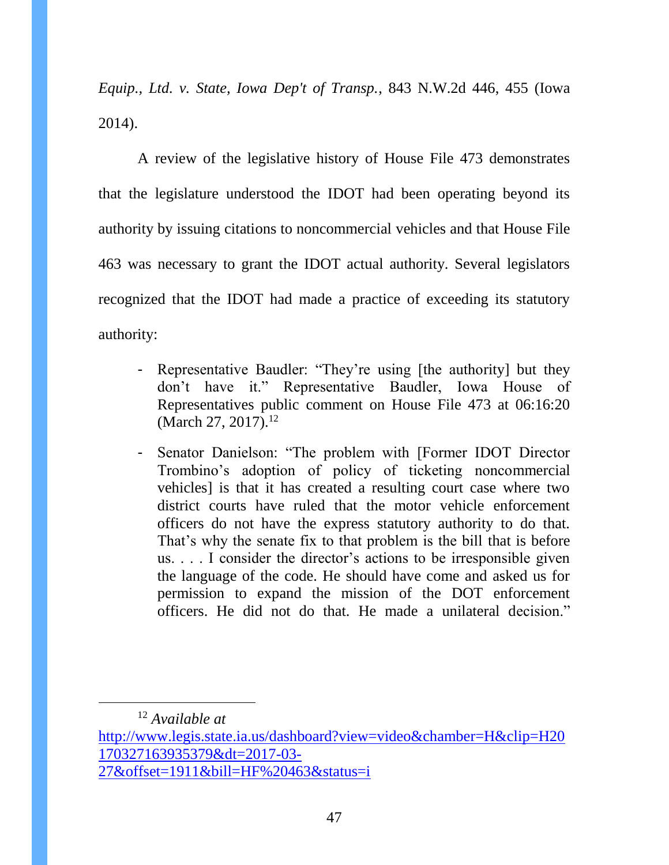*Equip., Ltd. v. State, Iowa Dep't of Transp.*, 843 N.W.2d 446, 455 (Iowa 2014).

A review of the legislative history of House File 473 demonstrates that the legislature understood the IDOT had been operating beyond its authority by issuing citations to noncommercial vehicles and that House File 463 was necessary to grant the IDOT actual authority. Several legislators recognized that the IDOT had made a practice of exceeding its statutory authority:

- Representative Baudler: "They're using [the authority] but they don't have it." Representative Baudler, Iowa House of Representatives public comment on House File 473 at 06:16:20 (March 27, 2017).<sup>12</sup>
- Senator Danielson: "The problem with [Former IDOT Director Trombino's adoption of policy of ticketing noncommercial vehicles] is that it has created a resulting court case where two district courts have ruled that the motor vehicle enforcement officers do not have the express statutory authority to do that. That's why the senate fix to that problem is the bill that is before us. . . . I consider the director's actions to be irresponsible given the language of the code. He should have come and asked us for permission to expand the mission of the DOT enforcement officers. He did not do that. He made a unilateral decision."

 $\overline{a}$ 

<sup>12</sup> *Available at* 

[http://www.legis.state.ia.us/dashboard?view=video&chamber=H&clip=H20](http://www.legis.state.ia.us/dashboard?view=video&chamber=H&clip=H20170327163935379&dt=2017-03-27&offset=1911&bill=HF%20463&status=i) [170327163935379&dt=2017-03-](http://www.legis.state.ia.us/dashboard?view=video&chamber=H&clip=H20170327163935379&dt=2017-03-27&offset=1911&bill=HF%20463&status=i) [27&offset=1911&bill=HF%20463&status=i](http://www.legis.state.ia.us/dashboard?view=video&chamber=H&clip=H20170327163935379&dt=2017-03-27&offset=1911&bill=HF%20463&status=i)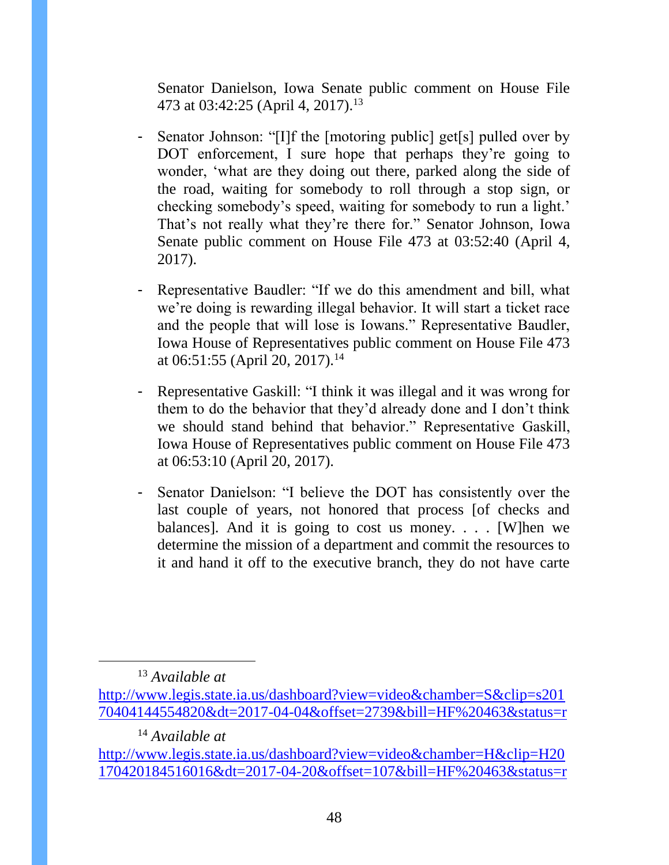Senator Danielson, Iowa Senate public comment on House File 473 at 03:42:25 (April 4, 2017).<sup>13</sup>

- Senator Johnson: "[I]f the [motoring public] get[s] pulled over by DOT enforcement, I sure hope that perhaps they're going to wonder, 'what are they doing out there, parked along the side of the road, waiting for somebody to roll through a stop sign, or checking somebody's speed, waiting for somebody to run a light.' That's not really what they're there for." Senator Johnson, Iowa Senate public comment on House File 473 at 03:52:40 (April 4, 2017).
- Representative Baudler: "If we do this amendment and bill, what we're doing is rewarding illegal behavior. It will start a ticket race and the people that will lose is Iowans." Representative Baudler, Iowa House of Representatives public comment on House File 473 at 06:51:55 (April 20, 2017).<sup>14</sup>
- Representative Gaskill: "I think it was illegal and it was wrong for them to do the behavior that they'd already done and I don't think we should stand behind that behavior." Representative Gaskill, Iowa House of Representatives public comment on House File 473 at 06:53:10 (April 20, 2017).
- Senator Danielson: "I believe the DOT has consistently over the last couple of years, not honored that process [of checks and balances]. And it is going to cost us money. . . . [W]hen we determine the mission of a department and commit the resources to it and hand it off to the executive branch, they do not have carte

<sup>13</sup> *Available at* 

 $\overline{a}$ 

<sup>14</sup> *Available at* 

[http://www.legis.state.ia.us/dashboard?view=video&chamber=S&clip=s201](http://www.legis.state.ia.us/dashboard?view=video&chamber=S&clip=s20170404144554820&dt=2017-04-04&offset=2739&bill=HF%20463&status=r) [70404144554820&dt=2017-04-04&offset=2739&bill=HF%20463&status=r](http://www.legis.state.ia.us/dashboard?view=video&chamber=S&clip=s20170404144554820&dt=2017-04-04&offset=2739&bill=HF%20463&status=r)

[http://www.legis.state.ia.us/dashboard?view=video&chamber=H&clip=H20](http://www.legis.state.ia.us/dashboard?view=video&chamber=H&clip=H20170420184516016&dt=2017-04-20&offset=107&bill=HF%20463&status=r) [170420184516016&dt=2017-04-20&offset=107&bill=HF%20463&status=r](http://www.legis.state.ia.us/dashboard?view=video&chamber=H&clip=H20170420184516016&dt=2017-04-20&offset=107&bill=HF%20463&status=r)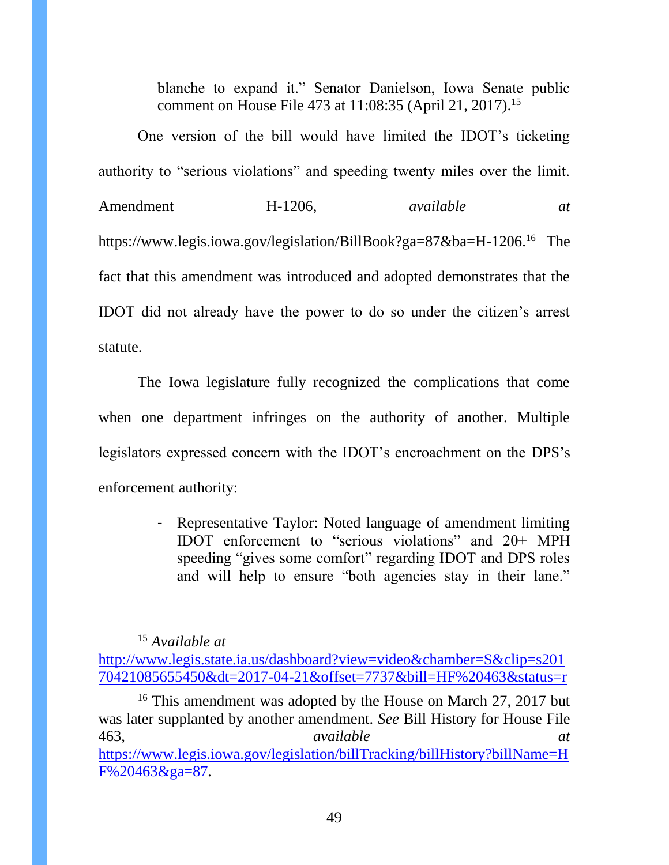blanche to expand it." Senator Danielson, Iowa Senate public comment on House File 473 at 11:08:35 (April 21, 2017).<sup>15</sup>

One version of the bill would have limited the IDOT's ticketing authority to "serious violations" and speeding twenty miles over the limit. Amendment H-1206, *available at* https://www.legis.iowa.gov/legislation/BillBook?ga=87&ba=H-1206. <sup>16</sup> The fact that this amendment was introduced and adopted demonstrates that the IDOT did not already have the power to do so under the citizen's arrest statute.

The Iowa legislature fully recognized the complications that come when one department infringes on the authority of another. Multiple legislators expressed concern with the IDOT's encroachment on the DPS's enforcement authority:

> - Representative Taylor: Noted language of amendment limiting IDOT enforcement to "serious violations" and 20+ MPH speeding "gives some comfort" regarding IDOT and DPS roles and will help to ensure "both agencies stay in their lane."

<sup>15</sup> *Available at* 

l

[http://www.legis.state.ia.us/dashboard?view=video&chamber=S&clip=s201](http://www.legis.state.ia.us/dashboard?view=video&chamber=S&clip=s20170421085655450&dt=2017-04-21&offset=7737&bill=HF%20463&status=r) [70421085655450&dt=2017-04-21&offset=7737&bill=HF%20463&status=r](http://www.legis.state.ia.us/dashboard?view=video&chamber=S&clip=s20170421085655450&dt=2017-04-21&offset=7737&bill=HF%20463&status=r)

<sup>&</sup>lt;sup>16</sup> This amendment was adopted by the House on March 27, 2017 but was later supplanted by another amendment. *See* Bill History for House File 463, *available at*  [https://www.legis.iowa.gov/legislation/billTracking/billHistory?billName=H](https://www.legis.iowa.gov/legislation/billTracking/billHistory?billName=HF%20463&ga=87) [F%20463&ga=87](https://www.legis.iowa.gov/legislation/billTracking/billHistory?billName=HF%20463&ga=87)*.*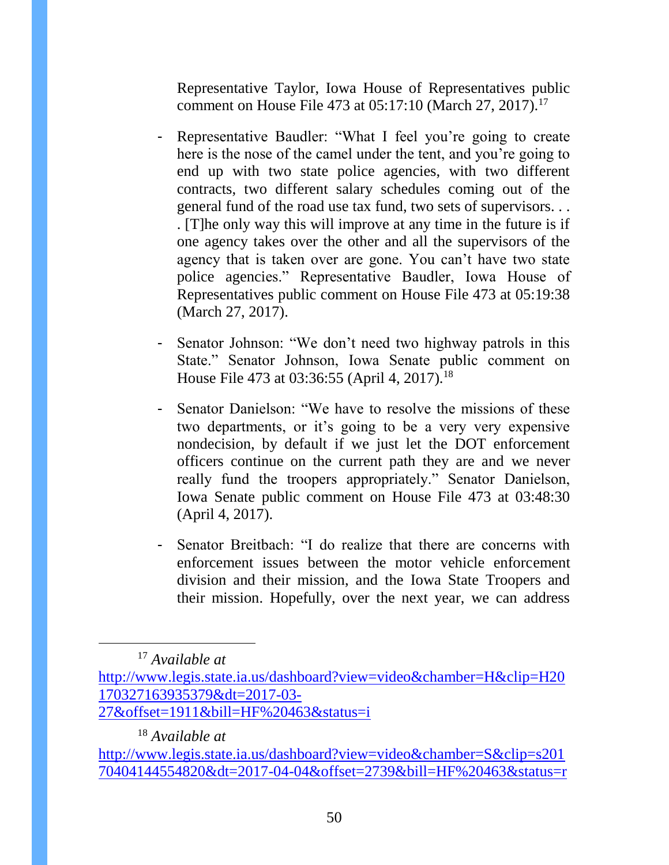Representative Taylor, Iowa House of Representatives public comment on House File 473 at 05:17:10 (March 27, 2017).<sup>17</sup>

- Representative Baudler: "What I feel you're going to create here is the nose of the camel under the tent, and you're going to end up with two state police agencies, with two different contracts, two different salary schedules coming out of the general fund of the road use tax fund, two sets of supervisors. . . . [T]he only way this will improve at any time in the future is if one agency takes over the other and all the supervisors of the agency that is taken over are gone. You can't have two state police agencies." Representative Baudler, Iowa House of Representatives public comment on House File 473 at 05:19:38 (March 27, 2017).
- Senator Johnson: "We don't need two highway patrols in this State." Senator Johnson, Iowa Senate public comment on House File 473 at 03:36:55 (April 4, 2017).<sup>18</sup>
- Senator Danielson: "We have to resolve the missions of these two departments, or it's going to be a very very expensive nondecision, by default if we just let the DOT enforcement officers continue on the current path they are and we never really fund the troopers appropriately." Senator Danielson, Iowa Senate public comment on House File 473 at 03:48:30 (April 4, 2017).
- Senator Breitbach: "I do realize that there are concerns with enforcement issues between the motor vehicle enforcement division and their mission, and the Iowa State Troopers and their mission. Hopefully, over the next year, we can address

<sup>17</sup> *Available at* 

l

[27&offset=1911&bill=HF%20463&status=i](http://www.legis.state.ia.us/dashboard?view=video&chamber=H&clip=H20170327163935379&dt=2017-03-27&offset=1911&bill=HF%20463&status=i)

<sup>18</sup> *Available at* 

[http://www.legis.state.ia.us/dashboard?view=video&chamber=H&clip=H20](http://www.legis.state.ia.us/dashboard?view=video&chamber=H&clip=H20170327163935379&dt=2017-03-27&offset=1911&bill=HF%20463&status=i) [170327163935379&dt=2017-03-](http://www.legis.state.ia.us/dashboard?view=video&chamber=H&clip=H20170327163935379&dt=2017-03-27&offset=1911&bill=HF%20463&status=i)

[http://www.legis.state.ia.us/dashboard?view=video&chamber=S&clip=s201](http://www.legis.state.ia.us/dashboard?view=video&chamber=S&clip=s20170404144554820&dt=2017-04-04&offset=2739&bill=HF%20463&status=r) [70404144554820&dt=2017-04-04&offset=2739&bill=HF%20463&status=r](http://www.legis.state.ia.us/dashboard?view=video&chamber=S&clip=s20170404144554820&dt=2017-04-04&offset=2739&bill=HF%20463&status=r)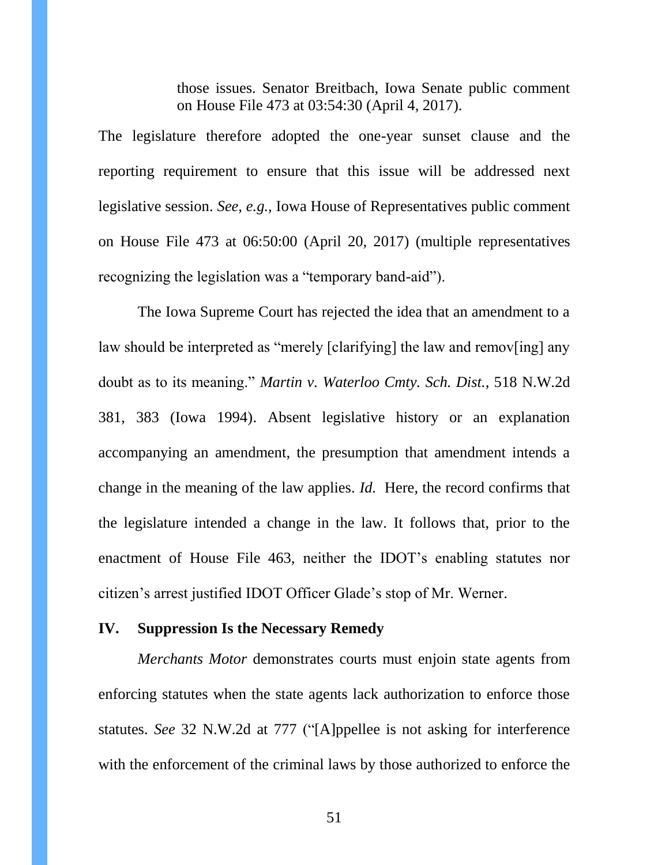those issues. Senator Breitbach, Iowa Senate public comment on House File 473 at 03:54:30 (April 4, 2017).

The legislature therefore adopted the one-year sunset clause and the reporting requirement to ensure that this issue will be addressed next legislative session. *See, e.g.,* Iowa House of Representatives public comment on House File 473 at 06:50:00 (April 20, 2017) (multiple representatives recognizing the legislation was a "temporary band-aid").

The Iowa Supreme Court has rejected the idea that an amendment to a law should be interpreted as "merely [clarifying] the law and remov[ing] any doubt as to its meaning." *Martin v. Waterloo Cmty. Sch. Dist.*, 518 N.W.2d 381, 383 (Iowa 1994). Absent legislative history or an explanation accompanying an amendment, the presumption that amendment intends a change in the meaning of the law applies. *Id.* Here, the record confirms that the legislature intended a change in the law. It follows that, prior to the enactment of House File 463, neither the IDOT's enabling statutes nor citizen's arrest justified IDOT Officer Glade's stop of Mr. Werner.

## <span id="page-50-0"></span>**IV. Suppression Is the Necessary Remedy**

*Merchants Motor* demonstrates courts must enjoin state agents from enforcing statutes when the state agents lack authorization to enforce those statutes. *See* 32 N.W.2d at 777 ("[A]ppellee is not asking for interference with the enforcement of the criminal laws by those authorized to enforce the

51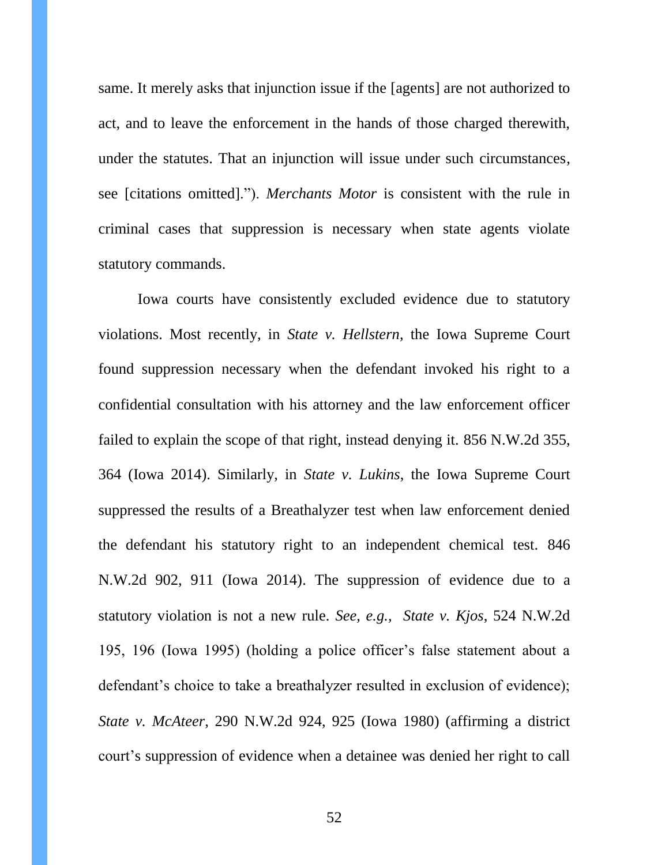same. It merely asks that injunction issue if the [agents] are not authorized to act, and to leave the enforcement in the hands of those charged therewith, under the statutes. That an injunction will issue under such circumstances, see [citations omitted]."). *Merchants Motor* is consistent with the rule in criminal cases that suppression is necessary when state agents violate statutory commands.

Iowa courts have consistently excluded evidence due to statutory violations. Most recently, in *State v. Hellstern*, the Iowa Supreme Court found suppression necessary when the defendant invoked his right to a confidential consultation with his attorney and the law enforcement officer failed to explain the scope of that right, instead denying it. 856 N.W.2d 355, 364 (Iowa 2014). Similarly, in *State v. Lukins*, the Iowa Supreme Court suppressed the results of a Breathalyzer test when law enforcement denied the defendant his statutory right to an independent chemical test. 846 N.W.2d 902, 911 (Iowa 2014). The suppression of evidence due to a statutory violation is not a new rule. *See, e.g., State v. Kjos*, 524 N.W.2d 195, 196 (Iowa 1995) (holding a police officer's false statement about a defendant's choice to take a breathalyzer resulted in exclusion of evidence); *State v. McAteer*, 290 N.W.2d 924, 925 (Iowa 1980) (affirming a district court's suppression of evidence when a detainee was denied her right to call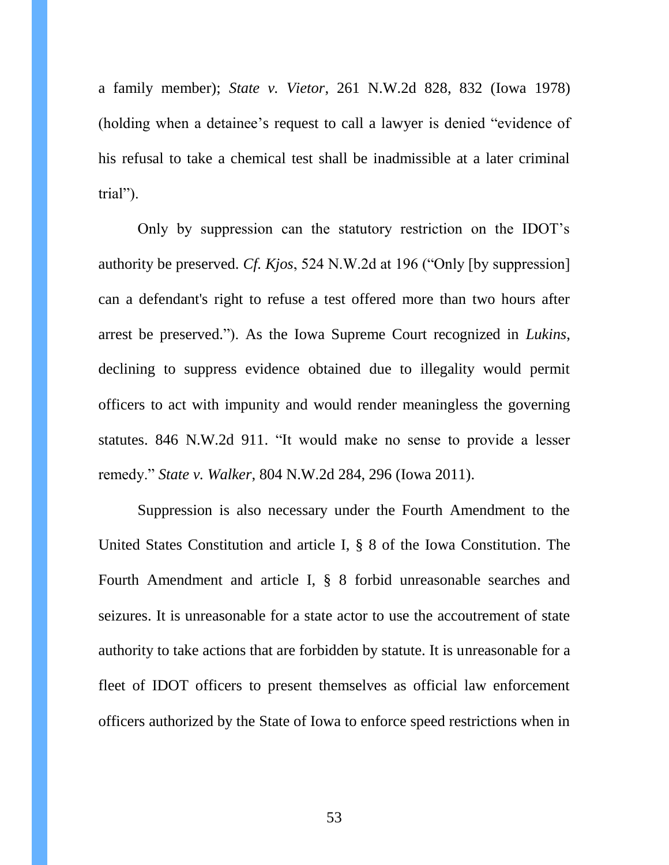a family member); *State v. Vietor*, 261 N.W.2d 828, 832 (Iowa 1978) (holding when a detainee's request to call a lawyer is denied "evidence of his refusal to take a chemical test shall be inadmissible at a later criminal trial").

Only by suppression can the statutory restriction on the IDOT's authority be preserved. *Cf. Kjos*, 524 N.W.2d at 196 ("Only [by suppression] can a defendant's right to refuse a test offered more than two hours after arrest be preserved."). As the Iowa Supreme Court recognized in *Lukins*, declining to suppress evidence obtained due to illegality would permit officers to act with impunity and would render meaningless the governing statutes. 846 N.W.2d 911. "It would make no sense to provide a lesser remedy." *State v. Walker*, 804 N.W.2d 284, 296 (Iowa 2011).

Suppression is also necessary under the Fourth Amendment to the United States Constitution and article I, § 8 of the Iowa Constitution. The Fourth Amendment and article I, § 8 forbid unreasonable searches and seizures. It is unreasonable for a state actor to use the accoutrement of state authority to take actions that are forbidden by statute. It is unreasonable for a fleet of IDOT officers to present themselves as official law enforcement officers authorized by the State of Iowa to enforce speed restrictions when in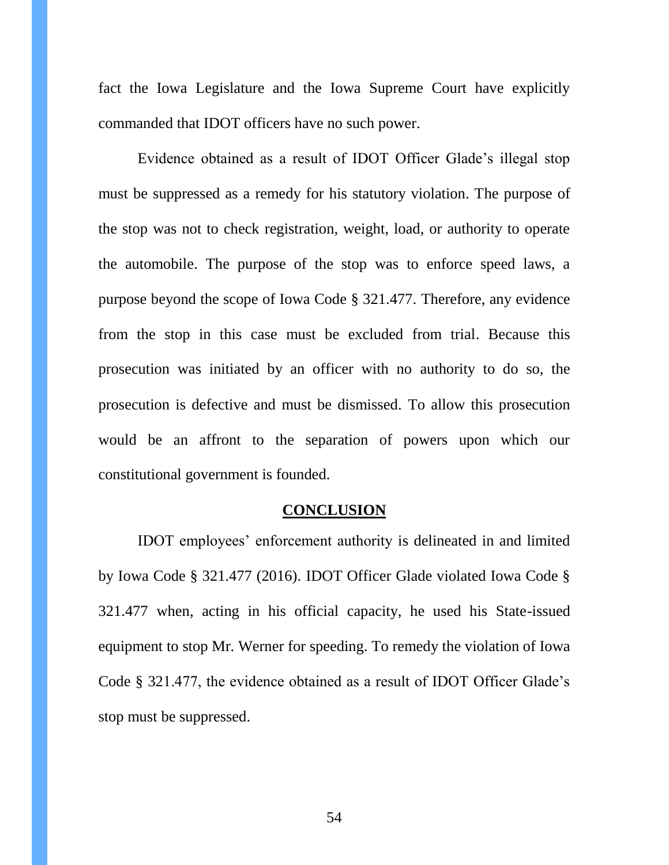fact the Iowa Legislature and the Iowa Supreme Court have explicitly commanded that IDOT officers have no such power.

Evidence obtained as a result of IDOT Officer Glade's illegal stop must be suppressed as a remedy for his statutory violation. The purpose of the stop was not to check registration, weight, load, or authority to operate the automobile. The purpose of the stop was to enforce speed laws, a purpose beyond the scope of Iowa Code § 321.477. Therefore, any evidence from the stop in this case must be excluded from trial. Because this prosecution was initiated by an officer with no authority to do so, the prosecution is defective and must be dismissed. To allow this prosecution would be an affront to the separation of powers upon which our constitutional government is founded.

#### **CONCLUSION**

<span id="page-53-0"></span>IDOT employees' enforcement authority is delineated in and limited by Iowa Code § 321.477 (2016). IDOT Officer Glade violated Iowa Code § 321.477 when, acting in his official capacity, he used his State-issued equipment to stop Mr. Werner for speeding. To remedy the violation of Iowa Code § 321.477, the evidence obtained as a result of IDOT Officer Glade's stop must be suppressed.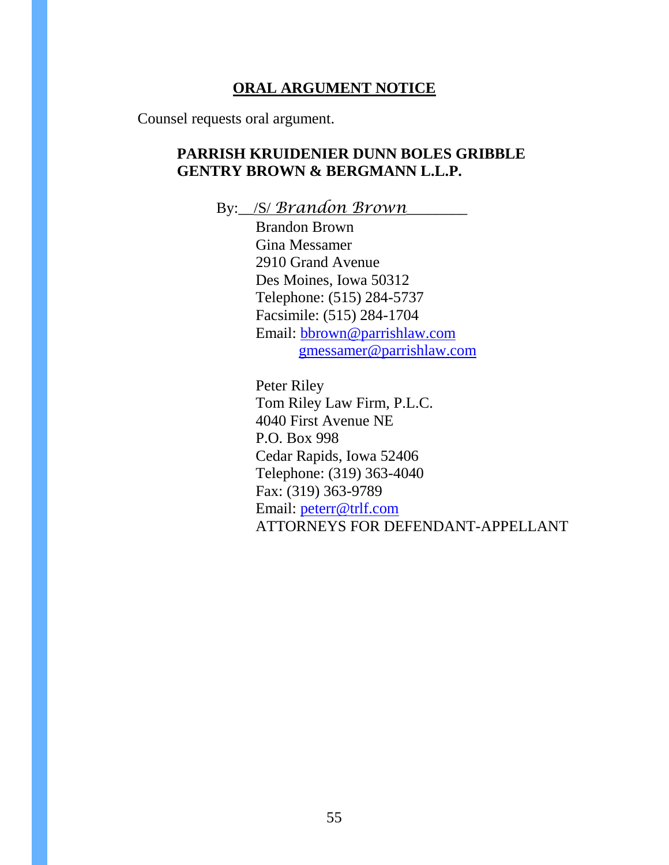## **ORAL ARGUMENT NOTICE**

<span id="page-54-0"></span>Counsel requests oral argument.

## **PARRISH KRUIDENIER DUNN BOLES GRIBBLE GENTRY BROWN & BERGMANN L.L.P.**

By:\_\_/S/ *Brandon Brown*\_\_\_\_\_\_\_\_

Brandon Brown Gina Messamer 2910 Grand Avenue Des Moines, Iowa 50312 Telephone: (515) 284-5737 Facsimile: (515) 284-1704 Email: [bbrown@parrishlaw.com](mailto:bbrown@parrishlaw.com) [gmessamer@parrishlaw.com](mailto:gmessamer@parrishlaw.com)

Peter Riley Tom Riley Law Firm, P.L.C. 4040 First Avenue NE P.O. Box 998 Cedar Rapids, Iowa 52406 Telephone: (319) 363-4040 Fax: (319) 363-9789 Email: [peterr@trlf.com](mailto:peterr@trlf.com) ATTORNEYS FOR DEFENDANT-APPELLANT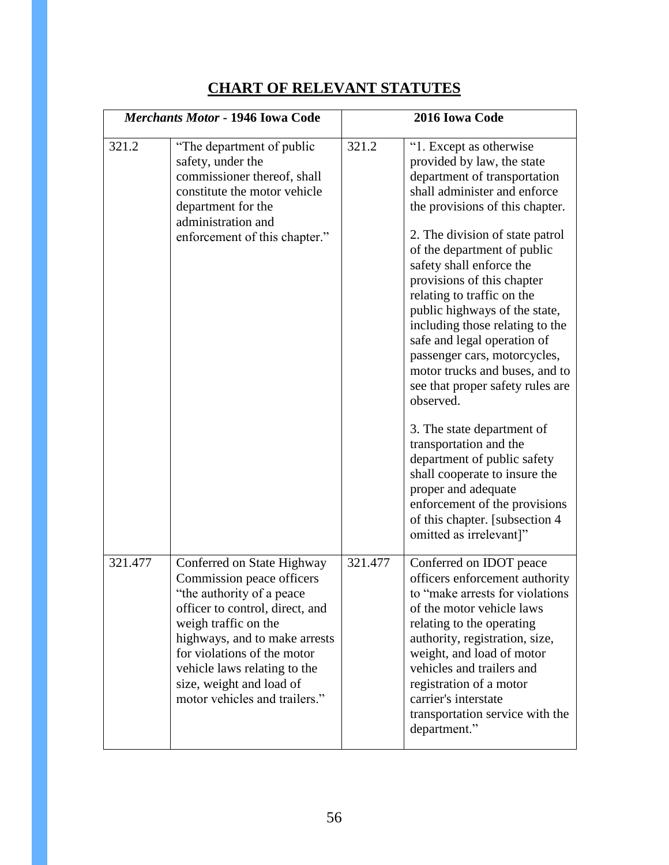# **CHART OF RELEVANT STATUTES**

<span id="page-55-0"></span>

| <b>Merchants Motor - 1946 Iowa Code</b> |                                                                                                                                                                                                                                                                                                               |         | 2016 Iowa Code                                                                                                                                                                                                                                                                                                                                                                                                                                                                                                                                                                                                                                                                                                                                                                        |
|-----------------------------------------|---------------------------------------------------------------------------------------------------------------------------------------------------------------------------------------------------------------------------------------------------------------------------------------------------------------|---------|---------------------------------------------------------------------------------------------------------------------------------------------------------------------------------------------------------------------------------------------------------------------------------------------------------------------------------------------------------------------------------------------------------------------------------------------------------------------------------------------------------------------------------------------------------------------------------------------------------------------------------------------------------------------------------------------------------------------------------------------------------------------------------------|
| 321.2                                   | "The department of public"<br>safety, under the<br>commissioner thereof, shall<br>constitute the motor vehicle<br>department for the<br>administration and<br>enforcement of this chapter."                                                                                                                   | 321.2   | "1. Except as otherwise<br>provided by law, the state<br>department of transportation<br>shall administer and enforce<br>the provisions of this chapter.<br>2. The division of state patrol<br>of the department of public<br>safety shall enforce the<br>provisions of this chapter<br>relating to traffic on the<br>public highways of the state,<br>including those relating to the<br>safe and legal operation of<br>passenger cars, motorcycles,<br>motor trucks and buses, and to<br>see that proper safety rules are<br>observed.<br>3. The state department of<br>transportation and the<br>department of public safety<br>shall cooperate to insure the<br>proper and adequate<br>enforcement of the provisions<br>of this chapter. [subsection 4<br>omitted as irrelevant]" |
| 321.477                                 | Conferred on State Highway<br>Commission peace officers<br>"the authority of a peace"<br>officer to control, direct, and<br>weigh traffic on the<br>highways, and to make arrests<br>for violations of the motor<br>vehicle laws relating to the<br>size, weight and load of<br>motor vehicles and trailers." | 321.477 | Conferred on IDOT peace<br>officers enforcement authority<br>to "make arrests for violations"<br>of the motor vehicle laws<br>relating to the operating<br>authority, registration, size,<br>weight, and load of motor<br>vehicles and trailers and<br>registration of a motor<br>carrier's interstate<br>transportation service with the<br>department."                                                                                                                                                                                                                                                                                                                                                                                                                             |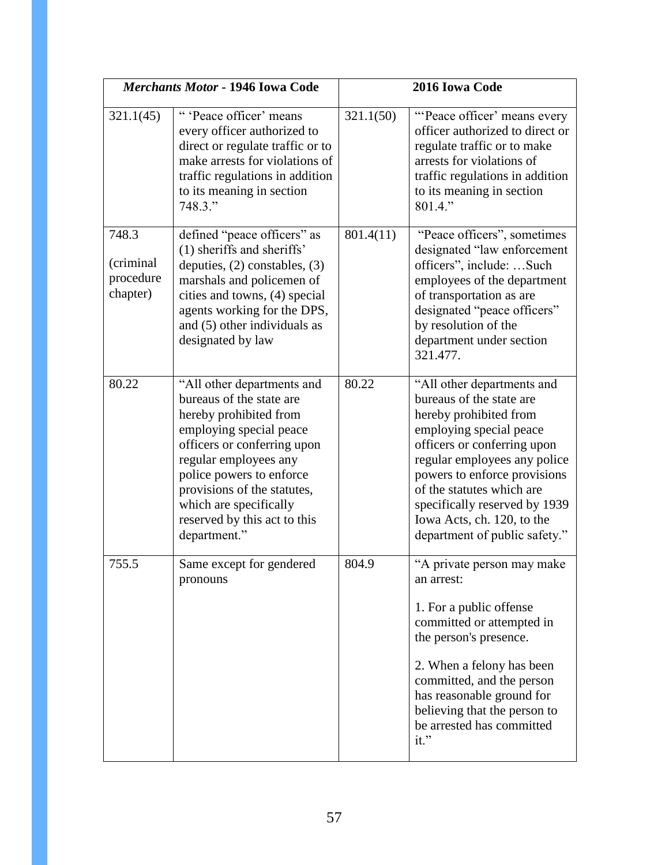| Merchants Motor - 1946 Iowa Code             |                                                                                                                                                                                                                                                                                                          | 2016 Iowa Code |                                                                                                                                                                                                                                                                                                                                         |
|----------------------------------------------|----------------------------------------------------------------------------------------------------------------------------------------------------------------------------------------------------------------------------------------------------------------------------------------------------------|----------------|-----------------------------------------------------------------------------------------------------------------------------------------------------------------------------------------------------------------------------------------------------------------------------------------------------------------------------------------|
| 321.1(45)                                    | "'Peace officer' means<br>every officer authorized to<br>direct or regulate traffic or to<br>make arrests for violations of<br>traffic regulations in addition<br>to its meaning in section<br>748.3."                                                                                                   | 321.1(50)      | "Peace officer' means every<br>officer authorized to direct or<br>regulate traffic or to make<br>arrests for violations of<br>traffic regulations in addition<br>to its meaning in section<br>801.4."                                                                                                                                   |
| 748.3<br>(criminal)<br>procedure<br>chapter) | defined "peace officers" as<br>(1) sheriffs and sheriffs'<br>deputies, $(2)$ constables, $(3)$<br>marshals and policemen of<br>cities and towns, (4) special<br>agents working for the DPS,<br>and (5) other individuals as<br>designated by law                                                         | 801.4(11)      | "Peace officers", sometimes<br>designated "law enforcement<br>officers", include: Such<br>employees of the department<br>of transportation as are<br>designated "peace officers"<br>by resolution of the<br>department under section<br>321.477.                                                                                        |
| 80.22                                        | "All other departments and<br>bureaus of the state are<br>hereby prohibited from<br>employing special peace<br>officers or conferring upon<br>regular employees any<br>police powers to enforce<br>provisions of the statutes,<br>which are specifically<br>reserved by this act to this<br>department." | 80.22          | "All other departments and<br>bureaus of the state are<br>hereby prohibited from<br>employing special peace<br>officers or conferring upon<br>regular employees any police<br>powers to enforce provisions<br>of the statutes which are<br>specifically reserved by 1939<br>Iowa Acts, ch. 120, to the<br>department of public safety." |
| 755.5                                        | Same except for gendered<br>pronouns                                                                                                                                                                                                                                                                     | 804.9          | "A private person may make<br>an arrest:<br>1. For a public offense<br>committed or attempted in<br>the person's presence.<br>2. When a felony has been<br>committed, and the person<br>has reasonable ground for<br>believing that the person to<br>be arrested has committed<br>it."                                                  |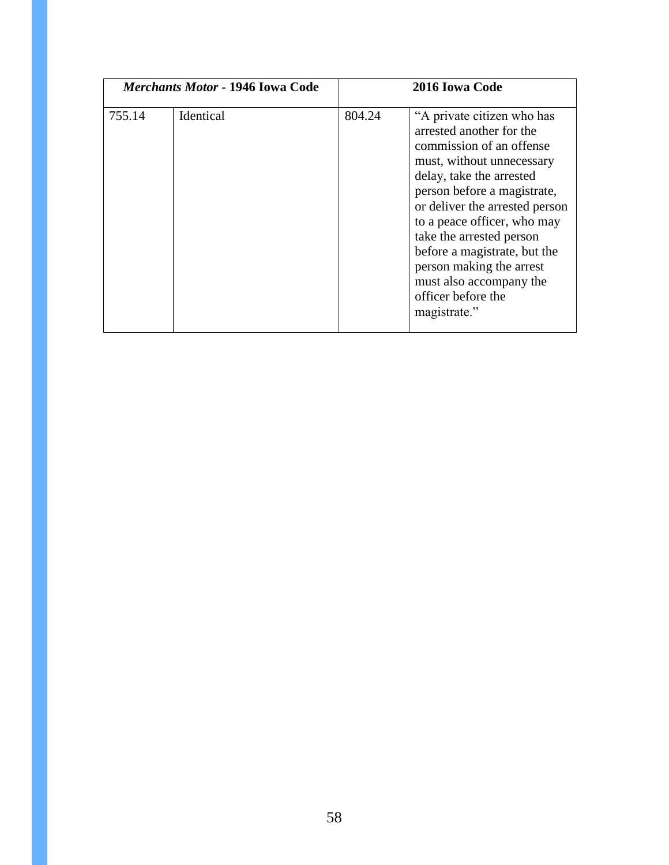| Merchants Motor - 1946 Iowa Code |           | 2016 Iowa Code |                                                                                                                                                                                                                                                                                                                                                                                                      |
|----------------------------------|-----------|----------------|------------------------------------------------------------------------------------------------------------------------------------------------------------------------------------------------------------------------------------------------------------------------------------------------------------------------------------------------------------------------------------------------------|
| 755.14                           | Identical | 804.24         | "A private citizen who has<br>arrested another for the<br>commission of an offense<br>must, without unnecessary<br>delay, take the arrested<br>person before a magistrate,<br>or deliver the arrested person<br>to a peace officer, who may<br>take the arrested person<br>before a magistrate, but the<br>person making the arrest<br>must also accompany the<br>officer before the<br>magistrate." |